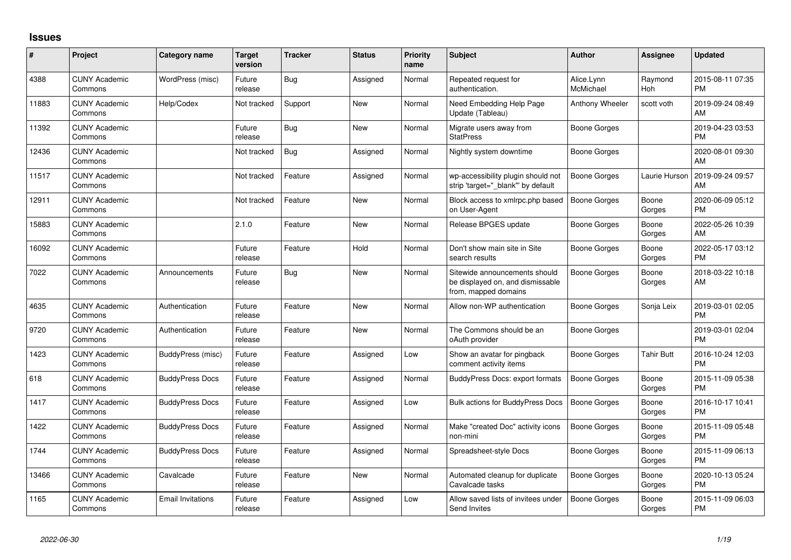## **Issues**

| #     | Project                         | <b>Category name</b>     | <b>Target</b><br>version | <b>Tracker</b> | <b>Status</b> | Priority<br>name | <b>Subject</b>                                                                            | <b>Author</b>           | <b>Assignee</b> | <b>Updated</b>                |
|-------|---------------------------------|--------------------------|--------------------------|----------------|---------------|------------------|-------------------------------------------------------------------------------------------|-------------------------|-----------------|-------------------------------|
| 4388  | <b>CUNY Academic</b><br>Commons | WordPress (misc)         | Future<br>release        | Bug            | Assigned      | Normal           | Repeated request for<br>authentication.                                                   | Alice.Lynn<br>McMichael | Raymond<br>Hoh  | 2015-08-11 07:35<br><b>PM</b> |
| 11883 | <b>CUNY Academic</b><br>Commons | Help/Codex               | Not tracked              | Support        | New           | Normal           | Need Embedding Help Page<br>Update (Tableau)                                              | Anthony Wheeler         | scott voth      | 2019-09-24 08:49<br>AM        |
| 11392 | <b>CUNY Academic</b><br>Commons |                          | Future<br>release        | Bug            | New           | Normal           | Migrate users away from<br><b>StatPress</b>                                               | Boone Gorges            |                 | 2019-04-23 03:53<br><b>PM</b> |
| 12436 | <b>CUNY Academic</b><br>Commons |                          | Not tracked              | Bug            | Assigned      | Normal           | Nightly system downtime                                                                   | Boone Gorges            |                 | 2020-08-01 09:30<br>AM        |
| 11517 | <b>CUNY Academic</b><br>Commons |                          | Not tracked              | Feature        | Assigned      | Normal           | wp-accessibility plugin should not<br>strip 'target=" blank" by default                   | <b>Boone Gorges</b>     | Laurie Hurson   | 2019-09-24 09:57<br>AM        |
| 12911 | <b>CUNY Academic</b><br>Commons |                          | Not tracked              | Feature        | New           | Normal           | Block access to xmlrpc.php based<br>on User-Agent                                         | Boone Gorges            | Boone<br>Gorges | 2020-06-09 05:12<br>PM        |
| 15883 | <b>CUNY Academic</b><br>Commons |                          | 2.1.0                    | Feature        | <b>New</b>    | Normal           | Release BPGES update                                                                      | Boone Gorges            | Boone<br>Gorges | 2022-05-26 10:39<br>AM.       |
| 16092 | <b>CUNY Academic</b><br>Commons |                          | Future<br>release        | Feature        | Hold          | Normal           | Don't show main site in Site<br>search results                                            | Boone Gorges            | Boone<br>Gorges | 2022-05-17 03:12<br><b>PM</b> |
| 7022  | <b>CUNY Academic</b><br>Commons | Announcements            | Future<br>release        | Bug            | <b>New</b>    | Normal           | Sitewide announcements should<br>be displayed on, and dismissable<br>from, mapped domains | Boone Gorges            | Boone<br>Gorges | 2018-03-22 10:18<br>AM        |
| 4635  | <b>CUNY Academic</b><br>Commons | Authentication           | Future<br>release        | Feature        | <b>New</b>    | Normal           | Allow non-WP authentication                                                               | Boone Gorges            | Sonja Leix      | 2019-03-01 02:05<br><b>PM</b> |
| 9720  | <b>CUNY Academic</b><br>Commons | Authentication           | Future<br>release        | Feature        | <b>New</b>    | Normal           | The Commons should be an<br>oAuth provider                                                | Boone Gorges            |                 | 2019-03-01 02:04<br><b>PM</b> |
| 1423  | <b>CUNY Academic</b><br>Commons | BuddyPress (misc)        | Future<br>release        | Feature        | Assigned      | Low              | Show an avatar for pingback<br>comment activity items                                     | Boone Gorges            | Tahir Butt      | 2016-10-24 12:03<br><b>PM</b> |
| 618   | <b>CUNY Academic</b><br>Commons | <b>BuddyPress Docs</b>   | Future<br>release        | Feature        | Assigned      | Normal           | <b>BuddyPress Docs: export formats</b>                                                    | Boone Gorges            | Boone<br>Gorges | 2015-11-09 05:38<br><b>PM</b> |
| 1417  | <b>CUNY Academic</b><br>Commons | <b>BuddyPress Docs</b>   | Future<br>release        | Feature        | Assigned      | Low              | Bulk actions for BuddyPress Docs                                                          | <b>Boone Gorges</b>     | Boone<br>Gorges | 2016-10-17 10:41<br><b>PM</b> |
| 1422  | <b>CUNY Academic</b><br>Commons | <b>BuddyPress Docs</b>   | Future<br>release        | Feature        | Assigned      | Normal           | Make "created Doc" activity icons<br>non-mini                                             | <b>Boone Gorges</b>     | Boone<br>Gorges | 2015-11-09 05:48<br><b>PM</b> |
| 1744  | <b>CUNY Academic</b><br>Commons | <b>BuddyPress Docs</b>   | Future<br>release        | Feature        | Assigned      | Normal           | Spreadsheet-style Docs                                                                    | Boone Gorges            | Boone<br>Gorges | 2015-11-09 06:13<br><b>PM</b> |
| 13466 | <b>CUNY Academic</b><br>Commons | Cavalcade                | Future<br>release        | Feature        | New           | Normal           | Automated cleanup for duplicate<br>Cavalcade tasks                                        | Boone Gorges            | Boone<br>Gorges | 2020-10-13 05:24<br><b>PM</b> |
| 1165  | <b>CUNY Academic</b><br>Commons | <b>Email Invitations</b> | Future<br>release        | Feature        | Assigned      | Low              | Allow saved lists of invitees under<br>Send Invites                                       | <b>Boone Gorges</b>     | Boone<br>Gorges | 2015-11-09 06:03<br>PM        |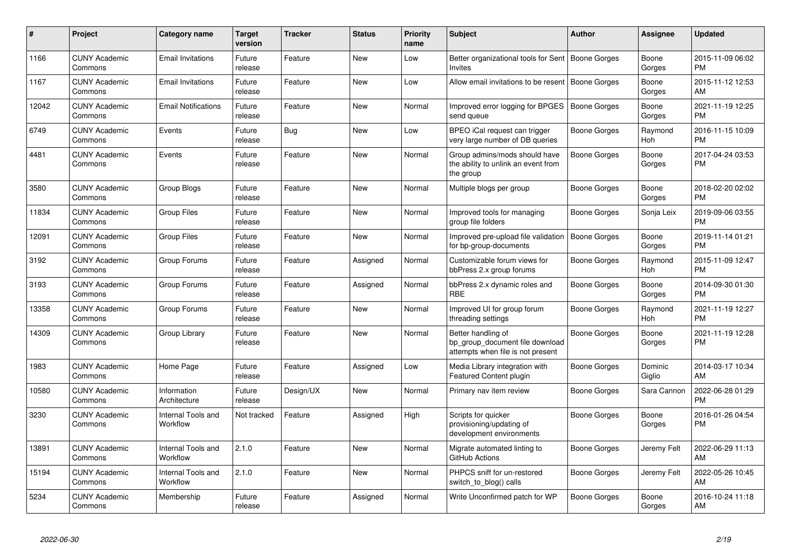| #     | <b>Project</b>                  | Category name                  | <b>Target</b><br>version | <b>Tracker</b> | <b>Status</b> | <b>Priority</b><br>name | <b>Subject</b>                                                                             | <b>Author</b>       | Assignee          | <b>Updated</b>                |
|-------|---------------------------------|--------------------------------|--------------------------|----------------|---------------|-------------------------|--------------------------------------------------------------------------------------------|---------------------|-------------------|-------------------------------|
| 1166  | <b>CUNY Academic</b><br>Commons | <b>Email Invitations</b>       | Future<br>release        | Feature        | <b>New</b>    | Low                     | Better organizational tools for Sent   Boone Gorges<br>Invites                             |                     | Boone<br>Gorges   | 2015-11-09 06:02<br><b>PM</b> |
| 1167  | <b>CUNY Academic</b><br>Commons | <b>Email Invitations</b>       | Future<br>release        | Feature        | <b>New</b>    | Low                     | Allow email invitations to be resent   Boone Gorges                                        |                     | Boone<br>Gorges   | 2015-11-12 12:53<br>AM        |
| 12042 | <b>CUNY Academic</b><br>Commons | <b>Email Notifications</b>     | Future<br>release        | Feature        | <b>New</b>    | Normal                  | Improved error logging for BPGES<br>send queue                                             | <b>Boone Gorges</b> | Boone<br>Gorges   | 2021-11-19 12:25<br><b>PM</b> |
| 6749  | <b>CUNY Academic</b><br>Commons | Events                         | Future<br>release        | Bug            | <b>New</b>    | Low                     | BPEO iCal request can trigger<br>very large number of DB queries                           | Boone Gorges        | Raymond<br>Hoh    | 2016-11-15 10:09<br><b>PM</b> |
| 4481  | <b>CUNY Academic</b><br>Commons | Events                         | Future<br>release        | Feature        | New           | Normal                  | Group admins/mods should have<br>the ability to unlink an event from<br>the group          | Boone Gorges        | Boone<br>Gorges   | 2017-04-24 03:53<br><b>PM</b> |
| 3580  | <b>CUNY Academic</b><br>Commons | Group Blogs                    | Future<br>release        | Feature        | New           | Normal                  | Multiple blogs per group                                                                   | Boone Gorges        | Boone<br>Gorges   | 2018-02-20 02:02<br><b>PM</b> |
| 11834 | <b>CUNY Academic</b><br>Commons | <b>Group Files</b>             | Future<br>release        | Feature        | <b>New</b>    | Normal                  | Improved tools for managing<br>group file folders                                          | Boone Gorges        | Sonja Leix        | 2019-09-06 03:55<br><b>PM</b> |
| 12091 | <b>CUNY Academic</b><br>Commons | <b>Group Files</b>             | Future<br>release        | Feature        | <b>New</b>    | Normal                  | Improved pre-upload file validation<br>for bp-group-documents                              | <b>Boone Gorges</b> | Boone<br>Gorges   | 2019-11-14 01:21<br><b>PM</b> |
| 3192  | <b>CUNY Academic</b><br>Commons | Group Forums                   | Future<br>release        | Feature        | Assigned      | Normal                  | Customizable forum views for<br>bbPress 2.x group forums                                   | Boone Gorges        | Raymond<br>Hoh    | 2015-11-09 12:47<br><b>PM</b> |
| 3193  | <b>CUNY Academic</b><br>Commons | Group Forums                   | Future<br>release        | Feature        | Assigned      | Normal                  | bbPress 2.x dynamic roles and<br><b>RBE</b>                                                | Boone Gorges        | Boone<br>Gorges   | 2014-09-30 01:30<br><b>PM</b> |
| 13358 | <b>CUNY Academic</b><br>Commons | Group Forums                   | Future<br>release        | Feature        | New           | Normal                  | Improved UI for group forum<br>threading settings                                          | Boone Gorges        | Raymond<br>Hoh    | 2021-11-19 12:27<br><b>PM</b> |
| 14309 | <b>CUNY Academic</b><br>Commons | Group Library                  | Future<br>release        | Feature        | New           | Normal                  | Better handling of<br>bp group document file download<br>attempts when file is not present | Boone Gorges        | Boone<br>Gorges   | 2021-11-19 12:28<br><b>PM</b> |
| 1983  | <b>CUNY Academic</b><br>Commons | Home Page                      | Future<br>release        | Feature        | Assigned      | Low                     | Media Library integration with<br>Featured Content plugin                                  | Boone Gorges        | Dominic<br>Giglio | 2014-03-17 10:34<br>AM        |
| 10580 | <b>CUNY Academic</b><br>Commons | Information<br>Architecture    | Future<br>release        | Design/UX      | <b>New</b>    | Normal                  | Primary nav item review                                                                    | Boone Gorges        | Sara Cannon       | 2022-06-28 01:29<br><b>PM</b> |
| 3230  | <b>CUNY Academic</b><br>Commons | Internal Tools and<br>Workflow | Not tracked              | Feature        | Assigned      | High                    | Scripts for quicker<br>provisioning/updating of<br>development environments                | <b>Boone Gorges</b> | Boone<br>Gorges   | 2016-01-26 04:54<br><b>PM</b> |
| 13891 | <b>CUNY Academic</b><br>Commons | Internal Tools and<br>Workflow | 2.1.0                    | Feature        | New           | Normal                  | Migrate automated linting to<br>GitHub Actions                                             | Boone Gorges        | Jeremy Felt       | 2022-06-29 11:13<br>AM        |
| 15194 | <b>CUNY Academic</b><br>Commons | Internal Tools and<br>Workflow | 2.1.0                    | Feature        | <b>New</b>    | Normal                  | PHPCS sniff for un-restored<br>switch_to_blog() calls                                      | Boone Gorges        | Jeremy Felt       | 2022-05-26 10:45<br>AM        |
| 5234  | <b>CUNY Academic</b><br>Commons | Membership                     | Future<br>release        | Feature        | Assigned      | Normal                  | Write Unconfirmed patch for WP                                                             | Boone Gorges        | Boone<br>Gorges   | 2016-10-24 11:18<br>AM        |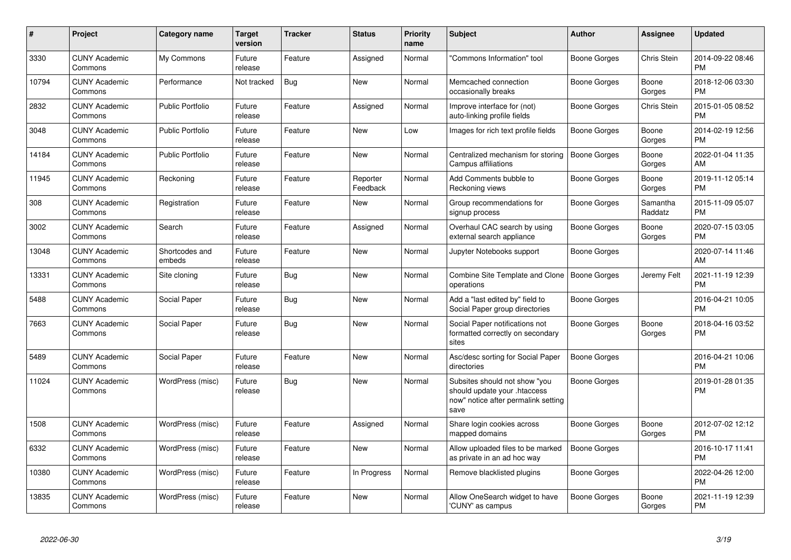| #     | Project                         | <b>Category name</b>     | Target<br>version | <b>Tracker</b> | <b>Status</b>        | <b>Priority</b><br>name | <b>Subject</b>                                                                                               | <b>Author</b>       | Assignee            | <b>Updated</b>                |
|-------|---------------------------------|--------------------------|-------------------|----------------|----------------------|-------------------------|--------------------------------------------------------------------------------------------------------------|---------------------|---------------------|-------------------------------|
| 3330  | <b>CUNY Academic</b><br>Commons | My Commons               | Future<br>release | Feature        | Assigned             | Normal                  | "Commons Information" tool                                                                                   | Boone Gorges        | Chris Stein         | 2014-09-22 08:46<br><b>PM</b> |
| 10794 | <b>CUNY Academic</b><br>Commons | Performance              | Not tracked       | Bug            | <b>New</b>           | Normal                  | Memcached connection<br>occasionally breaks                                                                  | Boone Gorges        | Boone<br>Gorges     | 2018-12-06 03:30<br><b>PM</b> |
| 2832  | <b>CUNY Academic</b><br>Commons | <b>Public Portfolio</b>  | Future<br>release | Feature        | Assigned             | Normal                  | Improve interface for (not)<br>auto-linking profile fields                                                   | Boone Gorges        | Chris Stein         | 2015-01-05 08:52<br><b>PM</b> |
| 3048  | <b>CUNY Academic</b><br>Commons | <b>Public Portfolio</b>  | Future<br>release | Feature        | New                  | Low                     | Images for rich text profile fields                                                                          | Boone Gorges        | Boone<br>Gorges     | 2014-02-19 12:56<br><b>PM</b> |
| 14184 | <b>CUNY Academic</b><br>Commons | <b>Public Portfolio</b>  | Future<br>release | Feature        | New                  | Normal                  | Centralized mechanism for storing<br>Campus affiliations                                                     | <b>Boone Gorges</b> | Boone<br>Gorges     | 2022-01-04 11:35<br>AM        |
| 11945 | <b>CUNY Academic</b><br>Commons | Reckoning                | Future<br>release | Feature        | Reporter<br>Feedback | Normal                  | Add Comments bubble to<br>Reckoning views                                                                    | <b>Boone Gorges</b> | Boone<br>Gorges     | 2019-11-12 05:14<br><b>PM</b> |
| 308   | <b>CUNY Academic</b><br>Commons | Registration             | Future<br>release | Feature        | New                  | Normal                  | Group recommendations for<br>signup process                                                                  | Boone Gorges        | Samantha<br>Raddatz | 2015-11-09 05:07<br><b>PM</b> |
| 3002  | <b>CUNY Academic</b><br>Commons | Search                   | Future<br>release | Feature        | Assigned             | Normal                  | Overhaul CAC search by using<br>external search appliance                                                    | Boone Gorges        | Boone<br>Gorges     | 2020-07-15 03:05<br><b>PM</b> |
| 13048 | <b>CUNY Academic</b><br>Commons | Shortcodes and<br>embeds | Future<br>release | Feature        | <b>New</b>           | Normal                  | Jupyter Notebooks support                                                                                    | Boone Gorges        |                     | 2020-07-14 11:46<br>AM        |
| 13331 | <b>CUNY Academic</b><br>Commons | Site cloning             | Future<br>release | Bug            | <b>New</b>           | Normal                  | Combine Site Template and Clone<br>operations                                                                | Boone Gorges        | Jeremy Felt         | 2021-11-19 12:39<br><b>PM</b> |
| 5488  | <b>CUNY Academic</b><br>Commons | Social Paper             | Future<br>release | Bug            | <b>New</b>           | Normal                  | Add a "last edited by" field to<br>Social Paper group directories                                            | Boone Gorges        |                     | 2016-04-21 10:05<br><b>PM</b> |
| 7663  | <b>CUNY Academic</b><br>Commons | Social Paper             | Future<br>release | Bug            | New                  | Normal                  | Social Paper notifications not<br>formatted correctly on secondary<br>sites                                  | Boone Gorges        | Boone<br>Gorges     | 2018-04-16 03:52<br>PM.       |
| 5489  | <b>CUNY Academic</b><br>Commons | Social Paper             | Future<br>release | Feature        | <b>New</b>           | Normal                  | Asc/desc sorting for Social Paper<br>directories                                                             | <b>Boone Gorges</b> |                     | 2016-04-21 10:06<br><b>PM</b> |
| 11024 | <b>CUNY Academic</b><br>Commons | WordPress (misc)         | Future<br>release | Bug            | <b>New</b>           | Normal                  | Subsites should not show "you<br>should update your .htaccess<br>now" notice after permalink setting<br>save | Boone Gorges        |                     | 2019-01-28 01:35<br>PM        |
| 1508  | <b>CUNY Academic</b><br>Commons | WordPress (misc)         | Future<br>release | Feature        | Assigned             | Normal                  | Share login cookies across<br>mapped domains                                                                 | Boone Gorges        | Boone<br>Gorges     | 2012-07-02 12:12<br><b>PM</b> |
| 6332  | <b>CUNY Academic</b><br>Commons | WordPress (misc)         | Future<br>release | Feature        | <b>New</b>           | Normal                  | Allow uploaded files to be marked<br>as private in an ad hoc way                                             | <b>Boone Gorges</b> |                     | 2016-10-17 11:41<br><b>PM</b> |
| 10380 | <b>CUNY Academic</b><br>Commons | WordPress (misc)         | Future<br>release | Feature        | In Progress          | Normal                  | Remove blacklisted plugins                                                                                   | <b>Boone Gorges</b> |                     | 2022-04-26 12:00<br><b>PM</b> |
| 13835 | <b>CUNY Academic</b><br>Commons | WordPress (misc)         | Future<br>release | Feature        | <b>New</b>           | Normal                  | Allow OneSearch widget to have<br>'CUNY' as campus                                                           | Boone Gorges        | Boone<br>Gorges     | 2021-11-19 12:39<br><b>PM</b> |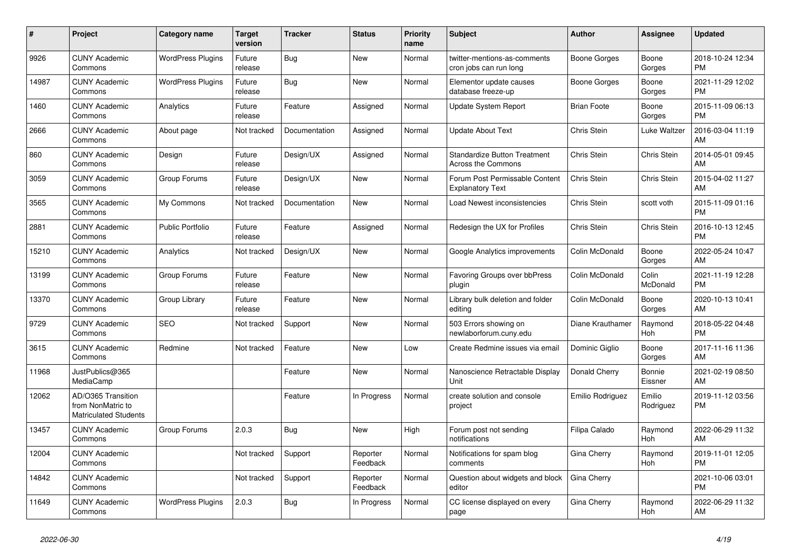| $\#$  | Project                                                                 | <b>Category name</b>     | <b>Target</b><br>version | <b>Tracker</b> | <b>Status</b>        | <b>Priority</b><br>name | <b>Subject</b>                                            | <b>Author</b>      | Assignee            | <b>Updated</b>                |
|-------|-------------------------------------------------------------------------|--------------------------|--------------------------|----------------|----------------------|-------------------------|-----------------------------------------------------------|--------------------|---------------------|-------------------------------|
| 9926  | <b>CUNY Academic</b><br>Commons                                         | <b>WordPress Plugins</b> | Future<br>release        | Bug            | <b>New</b>           | Normal                  | twitter-mentions-as-comments<br>cron jobs can run long    | Boone Gorges       | Boone<br>Gorges     | 2018-10-24 12:34<br><b>PM</b> |
| 14987 | <b>CUNY Academic</b><br>Commons                                         | <b>WordPress Plugins</b> | Future<br>release        | Bug            | <b>New</b>           | Normal                  | Elementor update causes<br>database freeze-up             | Boone Gorges       | Boone<br>Gorges     | 2021-11-29 12:02<br><b>PM</b> |
| 1460  | <b>CUNY Academic</b><br>Commons                                         | Analytics                | Future<br>release        | Feature        | Assigned             | Normal                  | Update System Report                                      | <b>Brian Foote</b> | Boone<br>Gorges     | 2015-11-09 06:13<br><b>PM</b> |
| 2666  | <b>CUNY Academic</b><br>Commons                                         | About page               | Not tracked              | Documentation  | Assigned             | Normal                  | <b>Update About Text</b>                                  | Chris Stein        | Luke Waltzer        | 2016-03-04 11:19<br>AM        |
| 860   | <b>CUNY Academic</b><br>Commons                                         | Design                   | Future<br>release        | Design/UX      | Assigned             | Normal                  | <b>Standardize Button Treatment</b><br>Across the Commons | Chris Stein        | Chris Stein         | 2014-05-01 09:45<br>AM        |
| 3059  | <b>CUNY Academic</b><br>Commons                                         | Group Forums             | Future<br>release        | Design/UX      | New                  | Normal                  | Forum Post Permissable Content<br><b>Explanatory Text</b> | Chris Stein        | Chris Stein         | 2015-04-02 11:27<br>AM        |
| 3565  | <b>CUNY Academic</b><br>Commons                                         | My Commons               | Not tracked              | Documentation  | <b>New</b>           | Normal                  | Load Newest inconsistencies                               | Chris Stein        | scott voth          | 2015-11-09 01:16<br><b>PM</b> |
| 2881  | <b>CUNY Academic</b><br>Commons                                         | <b>Public Portfolio</b>  | Future<br>release        | Feature        | Assigned             | Normal                  | Redesign the UX for Profiles                              | Chris Stein        | Chris Stein         | 2016-10-13 12:45<br><b>PM</b> |
| 15210 | <b>CUNY Academic</b><br>Commons                                         | Analytics                | Not tracked              | Design/UX      | <b>New</b>           | Normal                  | Google Analytics improvements                             | Colin McDonald     | Boone<br>Gorges     | 2022-05-24 10:47<br>AM        |
| 13199 | <b>CUNY Academic</b><br>Commons                                         | Group Forums             | Future<br>release        | Feature        | New                  | Normal                  | Favoring Groups over bbPress<br>plugin                    | Colin McDonald     | Colin<br>McDonald   | 2021-11-19 12:28<br><b>PM</b> |
| 13370 | <b>CUNY Academic</b><br>Commons                                         | Group Library            | Future<br>release        | Feature        | <b>New</b>           | Normal                  | Library bulk deletion and folder<br>editing               | Colin McDonald     | Boone<br>Gorges     | 2020-10-13 10:41<br>AM        |
| 9729  | <b>CUNY Academic</b><br>Commons                                         | <b>SEO</b>               | Not tracked              | Support        | New                  | Normal                  | 503 Errors showing on<br>newlaborforum.cuny.edu           | Diane Krauthamer   | Raymond<br>Hoh      | 2018-05-22 04:48<br><b>PM</b> |
| 3615  | <b>CUNY Academic</b><br>Commons                                         | Redmine                  | Not tracked              | Feature        | New                  | Low                     | Create Redmine issues via email                           | Dominic Giglio     | Boone<br>Gorges     | 2017-11-16 11:36<br>AM        |
| 11968 | JustPublics@365<br>MediaCamp                                            |                          |                          | Feature        | <b>New</b>           | Normal                  | Nanoscience Retractable Display<br>Unit                   | Donald Cherry      | Bonnie<br>Eissner   | 2021-02-19 08:50<br>AM        |
| 12062 | AD/O365 Transition<br>from NonMatric to<br><b>Matriculated Students</b> |                          |                          | Feature        | In Progress          | Normal                  | create solution and console<br>project                    | Emilio Rodriguez   | Emilio<br>Rodriguez | 2019-11-12 03:56<br><b>PM</b> |
| 13457 | <b>CUNY Academic</b><br>Commons                                         | Group Forums             | 2.0.3                    | Bug            | <b>New</b>           | High                    | Forum post not sending<br>notifications                   | Filipa Calado      | Raymond<br>Hoh      | 2022-06-29 11:32<br>AM        |
| 12004 | <b>CUNY Academic</b><br>Commons                                         |                          | Not tracked              | Support        | Reporter<br>Feedback | Normal                  | Notifications for spam blog<br>comments                   | Gina Cherry        | Raymond<br>Hoh      | 2019-11-01 12:05<br><b>PM</b> |
| 14842 | <b>CUNY Academic</b><br>Commons                                         |                          | Not tracked              | Support        | Reporter<br>Feedback | Normal                  | Question about widgets and block<br>editor                | Gina Cherry        |                     | 2021-10-06 03:01<br><b>PM</b> |
| 11649 | <b>CUNY Academic</b><br>Commons                                         | <b>WordPress Plugins</b> | 2.0.3                    | Bug            | In Progress          | Normal                  | CC license displayed on every<br>page                     | Gina Cherry        | Raymond<br>Hoh      | 2022-06-29 11:32<br>AM        |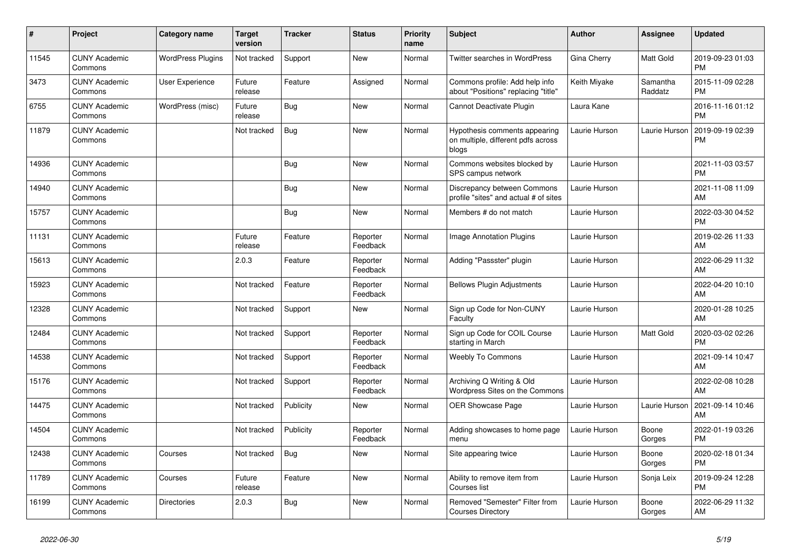| #     | Project                         | Category name            | <b>Target</b><br>version | <b>Tracker</b> | <b>Status</b>        | <b>Priority</b><br>name | <b>Subject</b>                                                               | <b>Author</b> | Assignee            | <b>Updated</b>                |
|-------|---------------------------------|--------------------------|--------------------------|----------------|----------------------|-------------------------|------------------------------------------------------------------------------|---------------|---------------------|-------------------------------|
| 11545 | <b>CUNY Academic</b><br>Commons | <b>WordPress Plugins</b> | Not tracked              | Support        | <b>New</b>           | Normal                  | <b>Twitter searches in WordPress</b>                                         | Gina Cherry   | <b>Matt Gold</b>    | 2019-09-23 01:03<br><b>PM</b> |
| 3473  | <b>CUNY Academic</b><br>Commons | User Experience          | Future<br>release        | Feature        | Assigned             | Normal                  | Commons profile: Add help info<br>about "Positions" replacing "title"        | Keith Miyake  | Samantha<br>Raddatz | 2015-11-09 02:28<br><b>PM</b> |
| 6755  | <b>CUNY Academic</b><br>Commons | WordPress (misc)         | Future<br>release        | Bug            | New                  | Normal                  | Cannot Deactivate Plugin                                                     | Laura Kane    |                     | 2016-11-16 01:12<br><b>PM</b> |
| 11879 | <b>CUNY Academic</b><br>Commons |                          | Not tracked              | <b>Bug</b>     | <b>New</b>           | Normal                  | Hypothesis comments appearing<br>on multiple, different pdfs across<br>blogs | Laurie Hurson | Laurie Hurson       | 2019-09-19 02:39<br>PM        |
| 14936 | <b>CUNY Academic</b><br>Commons |                          |                          | Bug            | <b>New</b>           | Normal                  | Commons websites blocked by<br>SPS campus network                            | Laurie Hurson |                     | 2021-11-03 03:57<br><b>PM</b> |
| 14940 | <b>CUNY Academic</b><br>Commons |                          |                          | <b>Bug</b>     | <b>New</b>           | Normal                  | Discrepancy between Commons<br>profile "sites" and actual # of sites         | Laurie Hurson |                     | 2021-11-08 11:09<br>AM        |
| 15757 | <b>CUNY Academic</b><br>Commons |                          |                          | Bug            | <b>New</b>           | Normal                  | Members # do not match                                                       | Laurie Hurson |                     | 2022-03-30 04:52<br><b>PM</b> |
| 11131 | <b>CUNY Academic</b><br>Commons |                          | Future<br>release        | Feature        | Reporter<br>Feedback | Normal                  | Image Annotation Plugins                                                     | Laurie Hurson |                     | 2019-02-26 11:33<br>AM        |
| 15613 | <b>CUNY Academic</b><br>Commons |                          | 2.0.3                    | Feature        | Reporter<br>Feedback | Normal                  | Adding "Passster" plugin                                                     | Laurie Hurson |                     | 2022-06-29 11:32<br><b>AM</b> |
| 15923 | <b>CUNY Academic</b><br>Commons |                          | Not tracked              | Feature        | Reporter<br>Feedback | Normal                  | <b>Bellows Plugin Adjustments</b>                                            | Laurie Hurson |                     | 2022-04-20 10:10<br>AM        |
| 12328 | <b>CUNY Academic</b><br>Commons |                          | Not tracked              | Support        | New                  | Normal                  | Sign up Code for Non-CUNY<br>Faculty                                         | Laurie Hurson |                     | 2020-01-28 10:25<br>AM        |
| 12484 | <b>CUNY Academic</b><br>Commons |                          | Not tracked              | Support        | Reporter<br>Feedback | Normal                  | Sign up Code for COIL Course<br>starting in March                            | Laurie Hurson | Matt Gold           | 2020-03-02 02:26<br><b>PM</b> |
| 14538 | <b>CUNY Academic</b><br>Commons |                          | Not tracked              | Support        | Reporter<br>Feedback | Normal                  | <b>Weebly To Commons</b>                                                     | Laurie Hurson |                     | 2021-09-14 10:47<br>AM        |
| 15176 | <b>CUNY Academic</b><br>Commons |                          | Not tracked              | Support        | Reporter<br>Feedback | Normal                  | Archiving Q Writing & Old<br>Wordpress Sites on the Commons                  | Laurie Hurson |                     | 2022-02-08 10:28<br>AM        |
| 14475 | <b>CUNY Academic</b><br>Commons |                          | Not tracked              | Publicity      | <b>New</b>           | Normal                  | <b>OER Showcase Page</b>                                                     | Laurie Hurson | Laurie Hurson       | 2021-09-14 10:46<br>AM        |
| 14504 | <b>CUNY Academic</b><br>Commons |                          | Not tracked              | Publicity      | Reporter<br>Feedback | Normal                  | Adding showcases to home page<br>menu                                        | Laurie Hurson | Boone<br>Gorges     | 2022-01-19 03:26<br><b>PM</b> |
| 12438 | <b>CUNY Academic</b><br>Commons | Courses                  | Not tracked              | Bug            | <b>New</b>           | Normal                  | Site appearing twice                                                         | Laurie Hurson | Boone<br>Gorges     | 2020-02-18 01:34<br><b>PM</b> |
| 11789 | <b>CUNY Academic</b><br>Commons | Courses                  | Future<br>release        | Feature        | New                  | Normal                  | Ability to remove item from<br>Courses list                                  | Laurie Hurson | Sonja Leix          | 2019-09-24 12:28<br><b>PM</b> |
| 16199 | <b>CUNY Academic</b><br>Commons | <b>Directories</b>       | 2.0.3                    | <b>Bug</b>     | <b>New</b>           | Normal                  | Removed "Semester" Filter from<br><b>Courses Directory</b>                   | Laurie Hurson | Boone<br>Gorges     | 2022-06-29 11:32<br>AM        |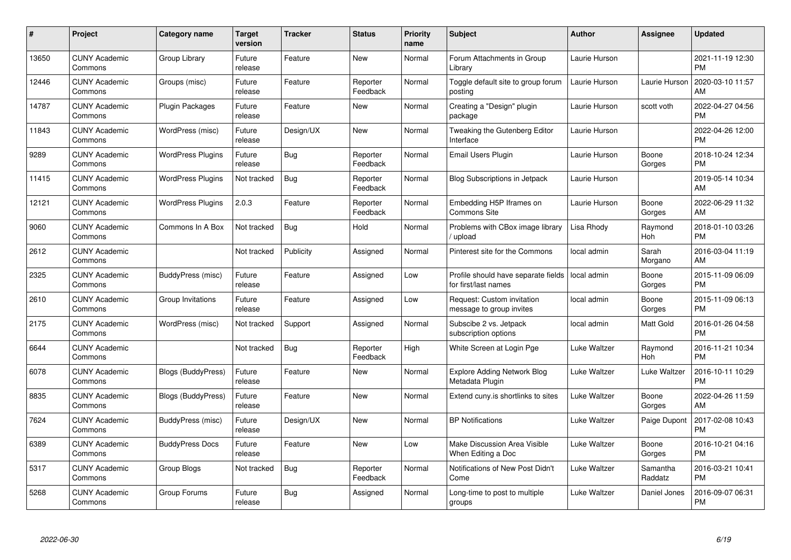| $\#$  | Project                         | <b>Category name</b>      | <b>Target</b><br>version | <b>Tracker</b> | <b>Status</b>        | Priority<br>name | <b>Subject</b>                                              | <b>Author</b> | <b>Assignee</b>     | <b>Updated</b>                |
|-------|---------------------------------|---------------------------|--------------------------|----------------|----------------------|------------------|-------------------------------------------------------------|---------------|---------------------|-------------------------------|
| 13650 | <b>CUNY Academic</b><br>Commons | Group Library             | Future<br>release        | Feature        | <b>New</b>           | Normal           | Forum Attachments in Group<br>Library                       | Laurie Hurson |                     | 2021-11-19 12:30<br><b>PM</b> |
| 12446 | <b>CUNY Academic</b><br>Commons | Groups (misc)             | Future<br>release        | Feature        | Reporter<br>Feedback | Normal           | Toggle default site to group forum<br>posting               | Laurie Hurson | Laurie Hurson       | 2020-03-10 11:57<br>AM        |
| 14787 | <b>CUNY Academic</b><br>Commons | Plugin Packages           | Future<br>release        | Feature        | New                  | Normal           | Creating a "Design" plugin<br>package                       | Laurie Hurson | scott voth          | 2022-04-27 04:56<br><b>PM</b> |
| 11843 | <b>CUNY Academic</b><br>Commons | WordPress (misc)          | Future<br>release        | Design/UX      | <b>New</b>           | Normal           | Tweaking the Gutenberg Editor<br>Interface                  | Laurie Hurson |                     | 2022-04-26 12:00<br><b>PM</b> |
| 9289  | <b>CUNY Academic</b><br>Commons | <b>WordPress Plugins</b>  | Future<br>release        | <b>Bug</b>     | Reporter<br>Feedback | Normal           | Email Users Plugin                                          | Laurie Hurson | Boone<br>Gorges     | 2018-10-24 12:34<br><b>PM</b> |
| 11415 | <b>CUNY Academic</b><br>Commons | <b>WordPress Plugins</b>  | Not tracked              | Bug            | Reporter<br>Feedback | Normal           | Blog Subscriptions in Jetpack                               | Laurie Hurson |                     | 2019-05-14 10:34<br>AM        |
| 12121 | <b>CUNY Academic</b><br>Commons | <b>WordPress Plugins</b>  | 2.0.3                    | Feature        | Reporter<br>Feedback | Normal           | Embedding H5P Iframes on<br><b>Commons Site</b>             | Laurie Hurson | Boone<br>Gorges     | 2022-06-29 11:32<br>AM        |
| 9060  | <b>CUNY Academic</b><br>Commons | Commons In A Box          | Not tracked              | Bug            | Hold                 | Normal           | Problems with CBox image library<br>/ upload                | Lisa Rhody    | Raymond<br>Hoh      | 2018-01-10 03:26<br><b>PM</b> |
| 2612  | <b>CUNY Academic</b><br>Commons |                           | Not tracked              | Publicity      | Assigned             | Normal           | Pinterest site for the Commons                              | local admin   | Sarah<br>Morgano    | 2016-03-04 11:19<br>AM        |
| 2325  | <b>CUNY Academic</b><br>Commons | BuddyPress (misc)         | Future<br>release        | Feature        | Assigned             | Low              | Profile should have separate fields<br>for first/last names | local admin   | Boone<br>Gorges     | 2015-11-09 06:09<br><b>PM</b> |
| 2610  | <b>CUNY Academic</b><br>Commons | Group Invitations         | Future<br>release        | Feature        | Assigned             | Low              | Request: Custom invitation<br>message to group invites      | local admin   | Boone<br>Gorges     | 2015-11-09 06:13<br><b>PM</b> |
| 2175  | <b>CUNY Academic</b><br>Commons | WordPress (misc)          | Not tracked              | Support        | Assigned             | Normal           | Subscibe 2 vs. Jetpack<br>subscription options              | local admin   | Matt Gold           | 2016-01-26 04:58<br><b>PM</b> |
| 6644  | <b>CUNY Academic</b><br>Commons |                           | Not tracked              | Bug            | Reporter<br>Feedback | High             | White Screen at Login Pge                                   | Luke Waltzer  | Raymond<br>Hoh      | 2016-11-21 10:34<br><b>PM</b> |
| 6078  | <b>CUNY Academic</b><br>Commons | <b>Blogs (BuddyPress)</b> | Future<br>release        | Feature        | New                  | Normal           | <b>Explore Adding Network Blog</b><br>Metadata Plugin       | Luke Waltzer  | Luke Waltzer        | 2016-10-11 10:29<br><b>PM</b> |
| 8835  | <b>CUNY Academic</b><br>Commons | <b>Blogs (BuddyPress)</b> | Future<br>release        | Feature        | New                  | Normal           | Extend cuny.is shortlinks to sites                          | Luke Waltzer  | Boone<br>Gorges     | 2022-04-26 11:59<br>AM        |
| 7624  | <b>CUNY Academic</b><br>Commons | BuddyPress (misc)         | Future<br>release        | Design/UX      | New                  | Normal           | <b>BP Notifications</b>                                     | Luke Waltzer  | Paige Dupont        | 2017-02-08 10:43<br><b>PM</b> |
| 6389  | <b>CUNY Academic</b><br>Commons | <b>BuddyPress Docs</b>    | Future<br>release        | Feature        | New                  | Low              | <b>Make Discussion Area Visible</b><br>When Editing a Doc   | Luke Waltzer  | Boone<br>Gorges     | 2016-10-21 04:16<br><b>PM</b> |
| 5317  | <b>CUNY Academic</b><br>Commons | Group Blogs               | Not tracked              | Bug            | Reporter<br>Feedback | Normal           | Notifications of New Post Didn't<br>Come                    | Luke Waltzer  | Samantha<br>Raddatz | 2016-03-21 10:41<br><b>PM</b> |
| 5268  | <b>CUNY Academic</b><br>Commons | Group Forums              | Future<br>release        | <b>Bug</b>     | Assigned             | Normal           | Long-time to post to multiple<br>groups                     | Luke Waltzer  | Daniel Jones        | 2016-09-07 06:31<br><b>PM</b> |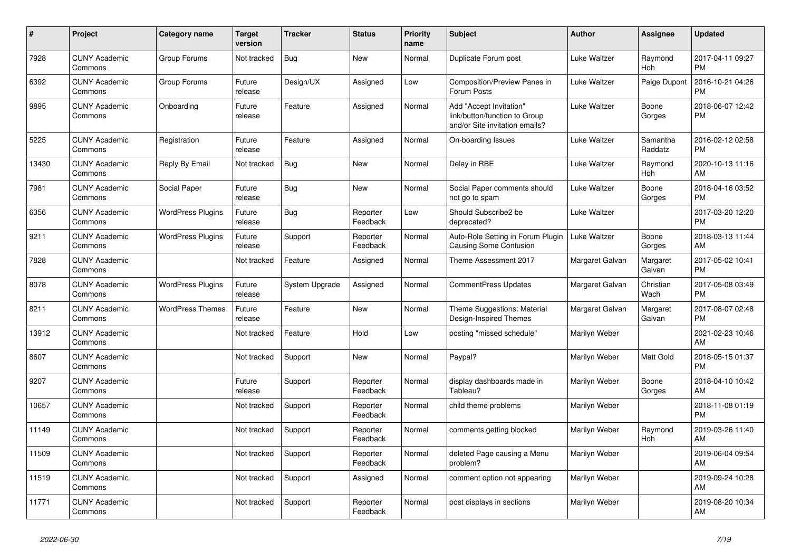| #     | <b>Project</b>                  | Category name            | Target<br>version | <b>Tracker</b> | <b>Status</b>        | <b>Priority</b><br>name | <b>Subject</b>                                                                             | <b>Author</b>   | Assignee            | <b>Updated</b>                |
|-------|---------------------------------|--------------------------|-------------------|----------------|----------------------|-------------------------|--------------------------------------------------------------------------------------------|-----------------|---------------------|-------------------------------|
| 7928  | <b>CUNY Academic</b><br>Commons | Group Forums             | Not tracked       | Bug            | New                  | Normal                  | Duplicate Forum post                                                                       | Luke Waltzer    | Raymond<br>Hoh      | 2017-04-11 09:27<br><b>PM</b> |
| 6392  | <b>CUNY Academic</b><br>Commons | Group Forums             | Future<br>release | Design/UX      | Assigned             | Low                     | Composition/Preview Panes in<br>Forum Posts                                                | Luke Waltzer    | Paige Dupont        | 2016-10-21 04:26<br><b>PM</b> |
| 9895  | <b>CUNY Academic</b><br>Commons | Onboarding               | Future<br>release | Feature        | Assigned             | Normal                  | Add "Accept Invitation"<br>link/button/function to Group<br>and/or Site invitation emails? | Luke Waltzer    | Boone<br>Gorges     | 2018-06-07 12:42<br><b>PM</b> |
| 5225  | <b>CUNY Academic</b><br>Commons | Registration             | Future<br>release | Feature        | Assigned             | Normal                  | On-boarding Issues                                                                         | Luke Waltzer    | Samantha<br>Raddatz | 2016-02-12 02:58<br><b>PM</b> |
| 13430 | <b>CUNY Academic</b><br>Commons | Reply By Email           | Not tracked       | <b>Bug</b>     | New                  | Normal                  | Delay in RBE                                                                               | Luke Waltzer    | Raymond<br>Hoh      | 2020-10-13 11:16<br>AM        |
| 7981  | <b>CUNY Academic</b><br>Commons | Social Paper             | Future<br>release | <b>Bug</b>     | <b>New</b>           | Normal                  | Social Paper comments should<br>not go to spam                                             | Luke Waltzer    | Boone<br>Gorges     | 2018-04-16 03:52<br><b>PM</b> |
| 6356  | <b>CUNY Academic</b><br>Commons | <b>WordPress Plugins</b> | Future<br>release | <b>Bug</b>     | Reporter<br>Feedback | Low                     | Should Subscribe2 be<br>deprecated?                                                        | Luke Waltzer    |                     | 2017-03-20 12:20<br><b>PM</b> |
| 9211  | <b>CUNY Academic</b><br>Commons | <b>WordPress Plugins</b> | Future<br>release | Support        | Reporter<br>Feedback | Normal                  | Auto-Role Setting in Forum Plugin<br>Causing Some Confusion                                | Luke Waltzer    | Boone<br>Gorges     | 2018-03-13 11:44<br>AM        |
| 7828  | <b>CUNY Academic</b><br>Commons |                          | Not tracked       | Feature        | Assigned             | Normal                  | Theme Assessment 2017                                                                      | Margaret Galvan | Margaret<br>Galvan  | 2017-05-02 10:41<br><b>PM</b> |
| 8078  | <b>CUNY Academic</b><br>Commons | <b>WordPress Plugins</b> | Future<br>release | System Upgrade | Assigned             | Normal                  | <b>CommentPress Updates</b>                                                                | Margaret Galvan | Christian<br>Wach   | 2017-05-08 03:49<br><b>PM</b> |
| 8211  | <b>CUNY Academic</b><br>Commons | <b>WordPress Themes</b>  | Future<br>release | Feature        | New                  | Normal                  | Theme Suggestions: Material<br>Design-Inspired Themes                                      | Margaret Galvan | Margaret<br>Galvan  | 2017-08-07 02:48<br><b>PM</b> |
| 13912 | <b>CUNY Academic</b><br>Commons |                          | Not tracked       | Feature        | Hold                 | Low                     | posting "missed schedule"                                                                  | Marilyn Weber   |                     | 2021-02-23 10:46<br>AM        |
| 8607  | <b>CUNY Academic</b><br>Commons |                          | Not tracked       | Support        | <b>New</b>           | Normal                  | Paypal?                                                                                    | Marilyn Weber   | Matt Gold           | 2018-05-15 01:37<br><b>PM</b> |
| 9207  | <b>CUNY Academic</b><br>Commons |                          | Future<br>release | Support        | Reporter<br>Feedback | Normal                  | display dashboards made in<br>Tableau?                                                     | Marilyn Weber   | Boone<br>Gorges     | 2018-04-10 10:42<br>AM        |
| 10657 | <b>CUNY Academic</b><br>Commons |                          | Not tracked       | Support        | Reporter<br>Feedback | Normal                  | child theme problems                                                                       | Marilyn Weber   |                     | 2018-11-08 01:19<br><b>PM</b> |
| 11149 | <b>CUNY Academic</b><br>Commons |                          | Not tracked       | Support        | Reporter<br>Feedback | Normal                  | comments getting blocked                                                                   | Marilyn Weber   | Raymond<br>Hoh      | 2019-03-26 11:40<br>AM        |
| 11509 | <b>CUNY Academic</b><br>Commons |                          | Not tracked       | Support        | Reporter<br>Feedback | Normal                  | deleted Page causing a Menu<br>problem?                                                    | Marilyn Weber   |                     | 2019-06-04 09:54<br>AM        |
| 11519 | <b>CUNY Academic</b><br>Commons |                          | Not tracked       | Support        | Assigned             | Normal                  | comment option not appearing                                                               | Marilyn Weber   |                     | 2019-09-24 10:28<br>AM        |
| 11771 | <b>CUNY Academic</b><br>Commons |                          | Not tracked       | Support        | Reporter<br>Feedback | Normal                  | post displays in sections                                                                  | Marilyn Weber   |                     | 2019-08-20 10:34<br>AM        |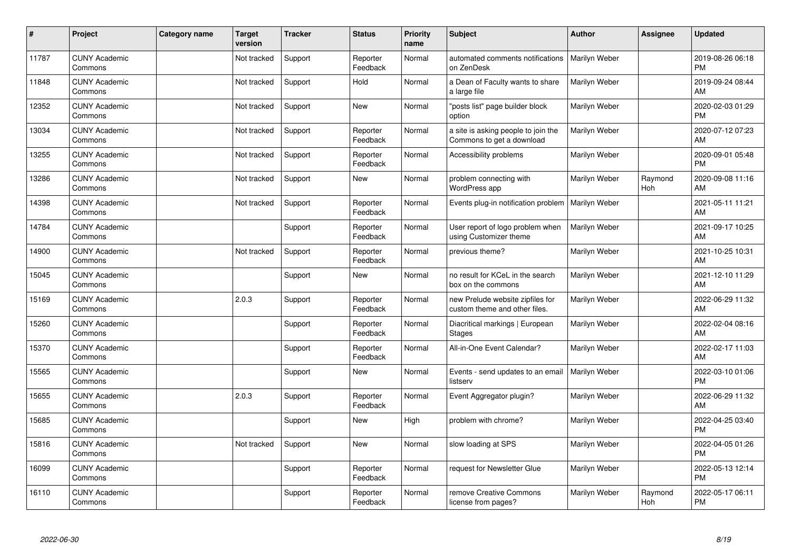| #     | Project                         | <b>Category name</b> | <b>Target</b><br>version | <b>Tracker</b> | <b>Status</b>        | <b>Priority</b><br>name | <b>Subject</b>                                                    | <b>Author</b> | Assignee       | <b>Updated</b>                |
|-------|---------------------------------|----------------------|--------------------------|----------------|----------------------|-------------------------|-------------------------------------------------------------------|---------------|----------------|-------------------------------|
| 11787 | <b>CUNY Academic</b><br>Commons |                      | Not tracked              | Support        | Reporter<br>Feedback | Normal                  | automated comments notifications<br>on ZenDesk                    | Marilyn Weber |                | 2019-08-26 06:18<br><b>PM</b> |
| 11848 | <b>CUNY Academic</b><br>Commons |                      | Not tracked              | Support        | Hold                 | Normal                  | a Dean of Faculty wants to share<br>a large file                  | Marilyn Weber |                | 2019-09-24 08:44<br>AM        |
| 12352 | <b>CUNY Academic</b><br>Commons |                      | Not tracked              | Support        | <b>New</b>           | Normal                  | "posts list" page builder block<br>option                         | Marilyn Weber |                | 2020-02-03 01:29<br><b>PM</b> |
| 13034 | <b>CUNY Academic</b><br>Commons |                      | Not tracked              | Support        | Reporter<br>Feedback | Normal                  | a site is asking people to join the<br>Commons to get a download  | Marilyn Weber |                | 2020-07-12 07:23<br>AM        |
| 13255 | <b>CUNY Academic</b><br>Commons |                      | Not tracked              | Support        | Reporter<br>Feedback | Normal                  | Accessibility problems                                            | Marilyn Weber |                | 2020-09-01 05:48<br><b>PM</b> |
| 13286 | <b>CUNY Academic</b><br>Commons |                      | Not tracked              | Support        | <b>New</b>           | Normal                  | problem connecting with<br><b>WordPress app</b>                   | Marilyn Weber | Raymond<br>Hoh | 2020-09-08 11:16<br>AM        |
| 14398 | <b>CUNY Academic</b><br>Commons |                      | Not tracked              | Support        | Reporter<br>Feedback | Normal                  | Events plug-in notification problem                               | Marilyn Weber |                | 2021-05-11 11:21<br>AM        |
| 14784 | <b>CUNY Academic</b><br>Commons |                      |                          | Support        | Reporter<br>Feedback | Normal                  | User report of logo problem when<br>using Customizer theme        | Marilyn Weber |                | 2021-09-17 10:25<br>AM        |
| 14900 | <b>CUNY Academic</b><br>Commons |                      | Not tracked              | Support        | Reporter<br>Feedback | Normal                  | previous theme?                                                   | Marilyn Weber |                | 2021-10-25 10:31<br>AM        |
| 15045 | <b>CUNY Academic</b><br>Commons |                      |                          | Support        | <b>New</b>           | Normal                  | no result for KCeL in the search<br>box on the commons            | Marilyn Weber |                | 2021-12-10 11:29<br>AM        |
| 15169 | <b>CUNY Academic</b><br>Commons |                      | 2.0.3                    | Support        | Reporter<br>Feedback | Normal                  | new Prelude website zipfiles for<br>custom theme and other files. | Marilyn Weber |                | 2022-06-29 11:32<br>AM        |
| 15260 | <b>CUNY Academic</b><br>Commons |                      |                          | Support        | Reporter<br>Feedback | Normal                  | Diacritical markings   European<br><b>Stages</b>                  | Marilyn Weber |                | 2022-02-04 08:16<br>AM        |
| 15370 | <b>CUNY Academic</b><br>Commons |                      |                          | Support        | Reporter<br>Feedback | Normal                  | All-in-One Event Calendar?                                        | Marilyn Weber |                | 2022-02-17 11:03<br>AM        |
| 15565 | <b>CUNY Academic</b><br>Commons |                      |                          | Support        | <b>New</b>           | Normal                  | Events - send updates to an email<br>listserv                     | Marilyn Weber |                | 2022-03-10 01:06<br><b>PM</b> |
| 15655 | <b>CUNY Academic</b><br>Commons |                      | 2.0.3                    | Support        | Reporter<br>Feedback | Normal                  | Event Aggregator plugin?                                          | Marilyn Weber |                | 2022-06-29 11:32<br>AM        |
| 15685 | <b>CUNY Academic</b><br>Commons |                      |                          | Support        | <b>New</b>           | High                    | problem with chrome?                                              | Marilyn Weber |                | 2022-04-25 03:40<br><b>PM</b> |
| 15816 | <b>CUNY Academic</b><br>Commons |                      | Not tracked              | Support        | New                  | Normal                  | slow loading at SPS                                               | Marilyn Weber |                | 2022-04-05 01:26<br><b>PM</b> |
| 16099 | <b>CUNY Academic</b><br>Commons |                      |                          | Support        | Reporter<br>Feedback | Normal                  | request for Newsletter Glue                                       | Marilyn Weber |                | 2022-05-13 12:14<br><b>PM</b> |
| 16110 | <b>CUNY Academic</b><br>Commons |                      |                          | Support        | Reporter<br>Feedback | Normal                  | remove Creative Commons<br>license from pages?                    | Marilyn Weber | Raymond<br>Hoh | 2022-05-17 06:11<br><b>PM</b> |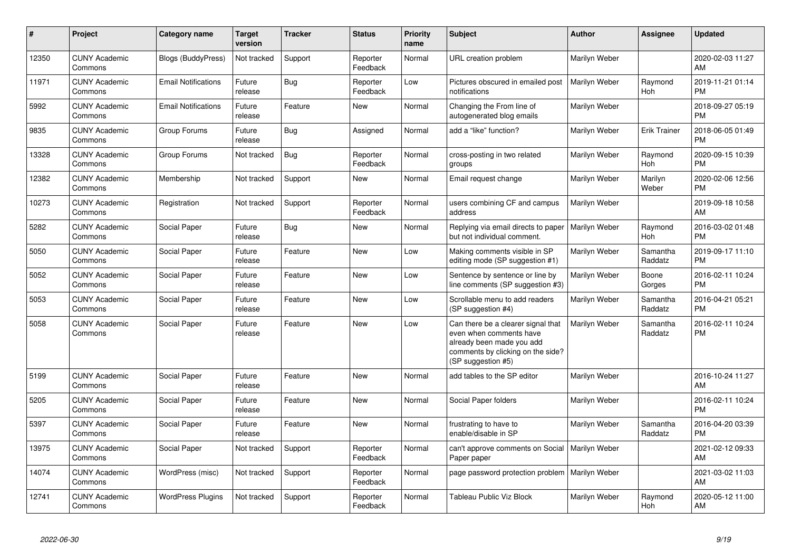| $\pmb{\#}$ | Project                         | <b>Category name</b>       | <b>Target</b><br>version | <b>Tracker</b> | <b>Status</b>        | <b>Priority</b><br>name | <b>Subject</b>                                                                                                                                        | <b>Author</b> | <b>Assignee</b>     | <b>Updated</b>                |
|------------|---------------------------------|----------------------------|--------------------------|----------------|----------------------|-------------------------|-------------------------------------------------------------------------------------------------------------------------------------------------------|---------------|---------------------|-------------------------------|
| 12350      | <b>CUNY Academic</b><br>Commons | <b>Blogs (BuddyPress)</b>  | Not tracked              | Support        | Reporter<br>Feedback | Normal                  | URL creation problem                                                                                                                                  | Marilyn Weber |                     | 2020-02-03 11:27<br>AM        |
| 11971      | <b>CUNY Academic</b><br>Commons | <b>Email Notifications</b> | Future<br>release        | Bug            | Reporter<br>Feedback | Low                     | Pictures obscured in emailed post<br>notifications                                                                                                    | Marilyn Weber | Raymond<br>Hoh      | 2019-11-21 01:14<br><b>PM</b> |
| 5992       | <b>CUNY Academic</b><br>Commons | <b>Email Notifications</b> | Future<br>release        | Feature        | New                  | Normal                  | Changing the From line of<br>autogenerated blog emails                                                                                                | Marilyn Weber |                     | 2018-09-27 05:19<br><b>PM</b> |
| 9835       | <b>CUNY Academic</b><br>Commons | Group Forums               | Future<br>release        | Bug            | Assigned             | Normal                  | add a "like" function?                                                                                                                                | Marilyn Weber | <b>Erik Trainer</b> | 2018-06-05 01:49<br><b>PM</b> |
| 13328      | <b>CUNY Academic</b><br>Commons | Group Forums               | Not tracked              | Bug            | Reporter<br>Feedback | Normal                  | cross-posting in two related<br>groups                                                                                                                | Marilyn Weber | Raymond<br>Hoh      | 2020-09-15 10:39<br><b>PM</b> |
| 12382      | <b>CUNY Academic</b><br>Commons | Membership                 | Not tracked              | Support        | <b>New</b>           | Normal                  | Email request change                                                                                                                                  | Marilyn Weber | Marilyn<br>Weber    | 2020-02-06 12:56<br><b>PM</b> |
| 10273      | <b>CUNY Academic</b><br>Commons | Registration               | Not tracked              | Support        | Reporter<br>Feedback | Normal                  | users combining CF and campus<br>address                                                                                                              | Marilyn Weber |                     | 2019-09-18 10:58<br>AM        |
| 5282       | <b>CUNY Academic</b><br>Commons | Social Paper               | Future<br>release        | Bug            | New                  | Normal                  | Replying via email directs to paper<br>but not individual comment.                                                                                    | Marilyn Weber | Raymond<br>Hoh      | 2016-03-02 01:48<br><b>PM</b> |
| 5050       | <b>CUNY Academic</b><br>Commons | Social Paper               | Future<br>release        | Feature        | New                  | Low                     | Making comments visible in SP<br>editing mode (SP suggestion #1)                                                                                      | Marilyn Weber | Samantha<br>Raddatz | 2019-09-17 11:10<br><b>PM</b> |
| 5052       | <b>CUNY Academic</b><br>Commons | Social Paper               | Future<br>release        | Feature        | <b>New</b>           | Low                     | Sentence by sentence or line by<br>line comments (SP suggestion #3)                                                                                   | Marilyn Weber | Boone<br>Gorges     | 2016-02-11 10:24<br><b>PM</b> |
| 5053       | <b>CUNY Academic</b><br>Commons | Social Paper               | Future<br>release        | Feature        | New                  | Low                     | Scrollable menu to add readers<br>(SP suggestion #4)                                                                                                  | Marilyn Weber | Samantha<br>Raddatz | 2016-04-21 05:21<br><b>PM</b> |
| 5058       | <b>CUNY Academic</b><br>Commons | Social Paper               | Future<br>release        | Feature        | New                  | Low                     | Can there be a clearer signal that<br>even when comments have<br>already been made you add<br>comments by clicking on the side?<br>(SP suggestion #5) | Marilyn Weber | Samantha<br>Raddatz | 2016-02-11 10:24<br><b>PM</b> |
| 5199       | <b>CUNY Academic</b><br>Commons | Social Paper               | Future<br>release        | Feature        | New                  | Normal                  | add tables to the SP editor                                                                                                                           | Marilyn Weber |                     | 2016-10-24 11:27<br>AM        |
| 5205       | <b>CUNY Academic</b><br>Commons | Social Paper               | Future<br>release        | Feature        | New                  | Normal                  | Social Paper folders                                                                                                                                  | Marilyn Weber |                     | 2016-02-11 10:24<br><b>PM</b> |
| 5397       | <b>CUNY Academic</b><br>Commons | Social Paper               | Future<br>release        | Feature        | New                  | Normal                  | frustrating to have to<br>enable/disable in SP                                                                                                        | Marilyn Weber | Samantha<br>Raddatz | 2016-04-20 03:39<br><b>PM</b> |
| 13975      | <b>CUNY Academic</b><br>Commons | Social Paper               | Not tracked              | Support        | Reporter<br>Feedback | Normal                  | can't approve comments on Social<br>Paper paper                                                                                                       | Marilyn Weber |                     | 2021-02-12 09:33<br>AM        |
| 14074      | <b>CUNY Academic</b><br>Commons | WordPress (misc)           | Not tracked              | Support        | Reporter<br>Feedback | Normal                  | page password protection problem   Marilyn Weber                                                                                                      |               |                     | 2021-03-02 11:03<br>AM        |
| 12741      | <b>CUNY Academic</b><br>Commons | <b>WordPress Plugins</b>   | Not tracked              | Support        | Reporter<br>Feedback | Normal                  | Tableau Public Viz Block                                                                                                                              | Marilyn Weber | Raymond<br>Hoh      | 2020-05-12 11:00<br>AM        |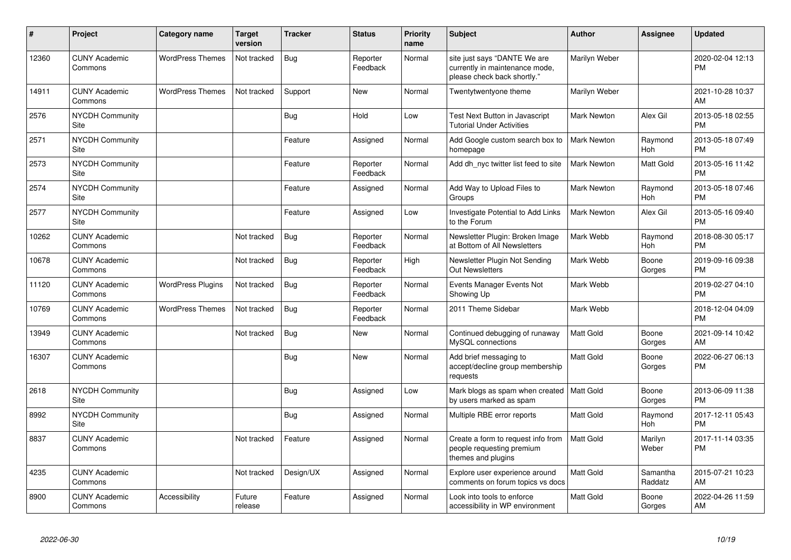| ∦     | Project                         | <b>Category name</b>     | <b>Target</b><br>version | <b>Tracker</b> | <b>Status</b>        | <b>Priority</b><br>name | <b>Subject</b>                                                                                | Author             | Assignee            | <b>Updated</b>                |
|-------|---------------------------------|--------------------------|--------------------------|----------------|----------------------|-------------------------|-----------------------------------------------------------------------------------------------|--------------------|---------------------|-------------------------------|
| 12360 | <b>CUNY Academic</b><br>Commons | <b>WordPress Themes</b>  | Not tracked              | <b>Bug</b>     | Reporter<br>Feedback | Normal                  | site just says "DANTE We are<br>currently in maintenance mode,<br>please check back shortly." | Marilyn Weber      |                     | 2020-02-04 12:13<br><b>PM</b> |
| 14911 | <b>CUNY Academic</b><br>Commons | <b>WordPress Themes</b>  | Not tracked              | Support        | <b>New</b>           | Normal                  | Twentytwentyone theme                                                                         | Marilyn Weber      |                     | 2021-10-28 10:37<br>AM        |
| 2576  | NYCDH Community<br>Site         |                          |                          | <b>Bug</b>     | Hold                 | Low                     | Test Next Button in Javascript<br><b>Tutorial Under Activities</b>                            | <b>Mark Newton</b> | Alex Gil            | 2013-05-18 02:55<br><b>PM</b> |
| 2571  | <b>NYCDH Community</b><br>Site  |                          |                          | Feature        | Assigned             | Normal                  | Add Google custom search box to<br>homepage                                                   | Mark Newton        | Raymond<br>Hoh      | 2013-05-18 07:49<br><b>PM</b> |
| 2573  | <b>NYCDH Community</b><br>Site  |                          |                          | Feature        | Reporter<br>Feedback | Normal                  | Add dh nyc twitter list feed to site                                                          | <b>Mark Newton</b> | Matt Gold           | 2013-05-16 11:42<br><b>PM</b> |
| 2574  | <b>NYCDH Community</b><br>Site  |                          |                          | Feature        | Assigned             | Normal                  | Add Way to Upload Files to<br>Groups                                                          | <b>Mark Newton</b> | Raymond<br>Hoh      | 2013-05-18 07:46<br><b>PM</b> |
| 2577  | <b>NYCDH Community</b><br>Site  |                          |                          | Feature        | Assigned             | Low                     | Investigate Potential to Add Links<br>to the Forum                                            | Mark Newton        | Alex Gil            | 2013-05-16 09:40<br><b>PM</b> |
| 10262 | <b>CUNY Academic</b><br>Commons |                          | Not tracked              | <b>Bug</b>     | Reporter<br>Feedback | Normal                  | Newsletter Plugin: Broken Image<br>at Bottom of All Newsletters                               | Mark Webb          | Raymond<br>Hoh      | 2018-08-30 05:17<br><b>PM</b> |
| 10678 | <b>CUNY Academic</b><br>Commons |                          | Not tracked              | Bug            | Reporter<br>Feedback | High                    | Newsletter Plugin Not Sending<br><b>Out Newsletters</b>                                       | Mark Webb          | Boone<br>Gorges     | 2019-09-16 09:38<br><b>PM</b> |
| 11120 | <b>CUNY Academic</b><br>Commons | <b>WordPress Plugins</b> | Not tracked              | Bug            | Reporter<br>Feedback | Normal                  | Events Manager Events Not<br>Showing Up                                                       | Mark Webb          |                     | 2019-02-27 04:10<br><b>PM</b> |
| 10769 | <b>CUNY Academic</b><br>Commons | <b>WordPress Themes</b>  | Not tracked              | <b>Bug</b>     | Reporter<br>Feedback | Normal                  | 2011 Theme Sidebar                                                                            | Mark Webb          |                     | 2018-12-04 04:09<br><b>PM</b> |
| 13949 | <b>CUNY Academic</b><br>Commons |                          | Not tracked              | <b>Bug</b>     | <b>New</b>           | Normal                  | Continued debugging of runaway<br>MySQL connections                                           | <b>Matt Gold</b>   | Boone<br>Gorges     | 2021-09-14 10:42<br>AM        |
| 16307 | <b>CUNY Academic</b><br>Commons |                          |                          | <b>Bug</b>     | <b>New</b>           | Normal                  | Add brief messaging to<br>accept/decline group membership<br>requests                         | <b>Matt Gold</b>   | Boone<br>Gorges     | 2022-06-27 06:13<br><b>PM</b> |
| 2618  | <b>NYCDH Community</b><br>Site  |                          |                          | Bug            | Assigned             | Low                     | Mark blogs as spam when created<br>by users marked as spam                                    | <b>Matt Gold</b>   | Boone<br>Gorges     | 2013-06-09 11:38<br><b>PM</b> |
| 8992  | <b>NYCDH Community</b><br>Site  |                          |                          | <b>Bug</b>     | Assigned             | Normal                  | Multiple RBE error reports                                                                    | <b>Matt Gold</b>   | Raymond<br>Hoh      | 2017-12-11 05:43<br><b>PM</b> |
| 8837  | <b>CUNY Academic</b><br>Commons |                          | Not tracked              | Feature        | Assigned             | Normal                  | Create a form to request info from<br>people requesting premium<br>themes and plugins         | <b>Matt Gold</b>   | Marilyn<br>Weber    | 2017-11-14 03:35<br><b>PM</b> |
| 4235  | <b>CUNY Academic</b><br>Commons |                          | Not tracked              | Design/UX      | Assigned             | Normal                  | Explore user experience around<br>comments on forum topics vs docs                            | <b>Matt Gold</b>   | Samantha<br>Raddatz | 2015-07-21 10:23<br>AM        |
| 8900  | <b>CUNY Academic</b><br>Commons | Accessibility            | Future<br>release        | Feature        | Assigned             | Normal                  | Look into tools to enforce<br>accessibility in WP environment                                 | <b>Matt Gold</b>   | Boone<br>Gorges     | 2022-04-26 11:59<br>AM        |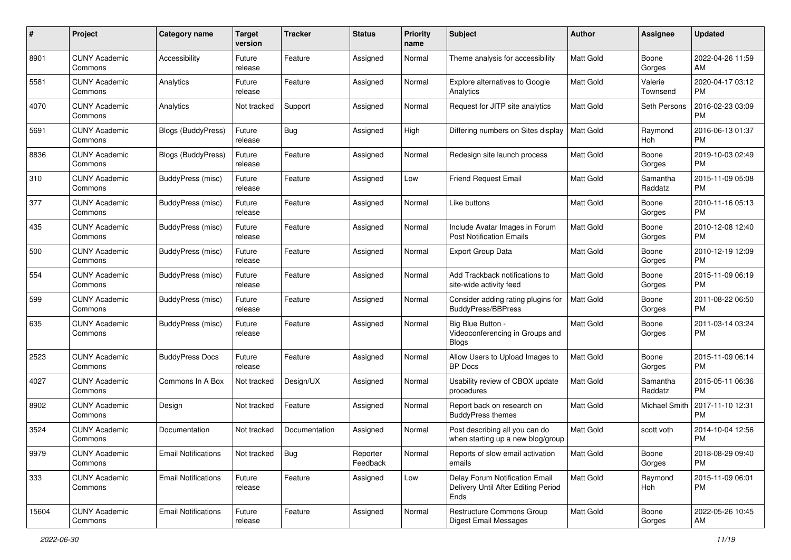| #     | Project                         | <b>Category name</b>       | <b>Target</b><br>version | <b>Tracker</b> | <b>Status</b>        | Priority<br>name | <b>Subject</b>                                                                | Author           | <b>Assignee</b>     | <b>Updated</b>                |
|-------|---------------------------------|----------------------------|--------------------------|----------------|----------------------|------------------|-------------------------------------------------------------------------------|------------------|---------------------|-------------------------------|
| 8901  | <b>CUNY Academic</b><br>Commons | Accessibility              | Future<br>release        | Feature        | Assigned             | Normal           | Theme analysis for accessibility                                              | <b>Matt Gold</b> | Boone<br>Gorges     | 2022-04-26 11:59<br>AM        |
| 5581  | <b>CUNY Academic</b><br>Commons | Analytics                  | Future<br>release        | Feature        | Assigned             | Normal           | Explore alternatives to Google<br>Analytics                                   | <b>Matt Gold</b> | Valerie<br>Townsend | 2020-04-17 03:12<br><b>PM</b> |
| 4070  | <b>CUNY Academic</b><br>Commons | Analytics                  | Not tracked              | Support        | Assigned             | Normal           | Request for JITP site analytics                                               | Matt Gold        | Seth Persons        | 2016-02-23 03:09<br><b>PM</b> |
| 5691  | <b>CUNY Academic</b><br>Commons | Blogs (BuddyPress)         | Future<br>release        | Bug            | Assigned             | High             | Differing numbers on Sites display                                            | <b>Matt Gold</b> | Raymond<br>Hoh      | 2016-06-13 01:37<br><b>PM</b> |
| 8836  | <b>CUNY Academic</b><br>Commons | Blogs (BuddyPress)         | Future<br>release        | Feature        | Assigned             | Normal           | Redesign site launch process                                                  | <b>Matt Gold</b> | Boone<br>Gorges     | 2019-10-03 02:49<br><b>PM</b> |
| 310   | <b>CUNY Academic</b><br>Commons | BuddyPress (misc)          | Future<br>release        | Feature        | Assigned             | Low              | <b>Friend Request Email</b>                                                   | Matt Gold        | Samantha<br>Raddatz | 2015-11-09 05:08<br><b>PM</b> |
| 377   | <b>CUNY Academic</b><br>Commons | BuddyPress (misc)          | Future<br>release        | Feature        | Assigned             | Normal           | Like buttons                                                                  | Matt Gold        | Boone<br>Gorges     | 2010-11-16 05:13<br><b>PM</b> |
| 435   | <b>CUNY Academic</b><br>Commons | BuddyPress (misc)          | Future<br>release        | Feature        | Assigned             | Normal           | Include Avatar Images in Forum<br>Post Notification Emails                    | <b>Matt Gold</b> | Boone<br>Gorges     | 2010-12-08 12:40<br><b>PM</b> |
| 500   | <b>CUNY Academic</b><br>Commons | <b>BuddyPress (misc)</b>   | Future<br>release        | Feature        | Assigned             | Normal           | <b>Export Group Data</b>                                                      | <b>Matt Gold</b> | Boone<br>Gorges     | 2010-12-19 12:09<br><b>PM</b> |
| 554   | CUNY Academic<br>Commons        | BuddyPress (misc)          | Future<br>release        | Feature        | Assigned             | Normal           | Add Trackback notifications to<br>site-wide activity feed                     | Matt Gold        | Boone<br>Gorges     | 2015-11-09 06:19<br><b>PM</b> |
| 599   | <b>CUNY Academic</b><br>Commons | BuddyPress (misc)          | Future<br>release        | Feature        | Assigned             | Normal           | Consider adding rating plugins for<br><b>BuddyPress/BBPress</b>               | <b>Matt Gold</b> | Boone<br>Gorges     | 2011-08-22 06:50<br><b>PM</b> |
| 635   | CUNY Academic<br>Commons        | BuddyPress (misc)          | Future<br>release        | Feature        | Assigned             | Normal           | Big Blue Button -<br>Videoconferencing in Groups and<br>Blogs                 | Matt Gold        | Boone<br>Gorges     | 2011-03-14 03:24<br><b>PM</b> |
| 2523  | <b>CUNY Academic</b><br>Commons | <b>BuddyPress Docs</b>     | Future<br>release        | Feature        | Assigned             | Normal           | Allow Users to Upload Images to<br><b>BP</b> Docs                             | <b>Matt Gold</b> | Boone<br>Gorges     | 2015-11-09 06:14<br><b>PM</b> |
| 4027  | <b>CUNY Academic</b><br>Commons | Commons In A Box           | Not tracked              | Design/UX      | Assigned             | Normal           | Usability review of CBOX update<br>procedures                                 | <b>Matt Gold</b> | Samantha<br>Raddatz | 2015-05-11 06:36<br><b>PM</b> |
| 8902  | <b>CUNY Academic</b><br>Commons | Design                     | Not tracked              | Feature        | Assigned             | Normal           | Report back on research on<br><b>BuddyPress themes</b>                        | Matt Gold        | Michael Smith       | 2017-11-10 12:31<br><b>PM</b> |
| 3524  | <b>CUNY Academic</b><br>Commons | Documentation              | Not tracked              | Documentation  | Assigned             | Normal           | Post describing all you can do<br>when starting up a new blog/group           | <b>Matt Gold</b> | scott voth          | 2014-10-04 12:56<br><b>PM</b> |
| 9979  | <b>CUNY Academic</b><br>Commons | <b>Email Notifications</b> | Not tracked              | Bug            | Reporter<br>Feedback | Normal           | Reports of slow email activation<br>emails                                    | Matt Gold        | Boone<br>Gorges     | 2018-08-29 09:40<br><b>PM</b> |
| 333   | <b>CUNY Academic</b><br>Commons | <b>Email Notifications</b> | Future<br>release        | Feature        | Assigned             | Low              | Delay Forum Notification Email<br>Delivery Until After Editing Period<br>Ends | Matt Gold        | Raymond<br>Hoh      | 2015-11-09 06:01<br><b>PM</b> |
| 15604 | <b>CUNY Academic</b><br>Commons | <b>Email Notifications</b> | Future<br>release        | Feature        | Assigned             | Normal           | Restructure Commons Group<br><b>Digest Email Messages</b>                     | Matt Gold        | Boone<br>Gorges     | 2022-05-26 10:45<br>AM        |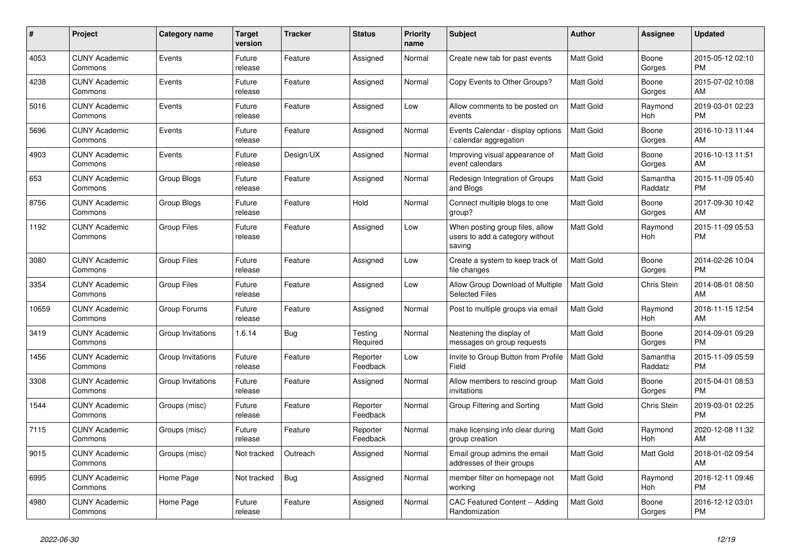| #     | <b>Project</b>                  | Category name      | <b>Target</b><br>version | <b>Tracker</b> | <b>Status</b>        | <b>Priority</b><br>name | <b>Subject</b>                                                               | <b>Author</b>    | Assignee            | <b>Updated</b>                |
|-------|---------------------------------|--------------------|--------------------------|----------------|----------------------|-------------------------|------------------------------------------------------------------------------|------------------|---------------------|-------------------------------|
| 4053  | <b>CUNY Academic</b><br>Commons | Events             | Future<br>release        | Feature        | Assigned             | Normal                  | Create new tab for past events                                               | <b>Matt Gold</b> | Boone<br>Gorges     | 2015-05-12 02:10<br><b>PM</b> |
| 4238  | <b>CUNY Academic</b><br>Commons | Events             | Future<br>release        | Feature        | Assigned             | Normal                  | Copy Events to Other Groups?                                                 | <b>Matt Gold</b> | Boone<br>Gorges     | 2015-07-02 10:08<br>AM        |
| 5016  | <b>CUNY Academic</b><br>Commons | Events             | Future<br>release        | Feature        | Assigned             | Low                     | Allow comments to be posted on<br>events                                     | <b>Matt Gold</b> | Raymond<br>Hoh      | 2019-03-01 02:23<br><b>PM</b> |
| 5696  | <b>CUNY Academic</b><br>Commons | Events             | Future<br>release        | Feature        | Assigned             | Normal                  | Events Calendar - display options<br>/ calendar aggregation                  | <b>Matt Gold</b> | Boone<br>Gorges     | 2016-10-13 11:44<br>AM        |
| 4903  | <b>CUNY Academic</b><br>Commons | Events             | Future<br>release        | Design/UX      | Assigned             | Normal                  | Improving visual appearance of<br>event calendars                            | Matt Gold        | Boone<br>Gorges     | 2016-10-13 11:51<br>AM        |
| 653   | <b>CUNY Academic</b><br>Commons | Group Blogs        | Future<br>release        | Feature        | Assigned             | Normal                  | Redesign Integration of Groups<br>and Blogs                                  | <b>Matt Gold</b> | Samantha<br>Raddatz | 2015-11-09 05:40<br><b>PM</b> |
| 8756  | <b>CUNY Academic</b><br>Commons | Group Blogs        | Future<br>release        | Feature        | Hold                 | Normal                  | Connect multiple blogs to one<br>group?                                      | <b>Matt Gold</b> | Boone<br>Gorges     | 2017-09-30 10:42<br>AM        |
| 1192  | <b>CUNY Academic</b><br>Commons | <b>Group Files</b> | Future<br>release        | Feature        | Assigned             | Low                     | When posting group files, allow<br>users to add a category without<br>saving | <b>Matt Gold</b> | Raymond<br>Hoh      | 2015-11-09 05:53<br><b>PM</b> |
| 3080  | <b>CUNY Academic</b><br>Commons | <b>Group Files</b> | Future<br>release        | Feature        | Assigned             | Low                     | Create a system to keep track of<br>file changes                             | <b>Matt Gold</b> | Boone<br>Gorges     | 2014-02-26 10:04<br><b>PM</b> |
| 3354  | <b>CUNY Academic</b><br>Commons | <b>Group Files</b> | Future<br>release        | Feature        | Assigned             | Low                     | Allow Group Download of Multiple<br><b>Selected Files</b>                    | <b>Matt Gold</b> | <b>Chris Stein</b>  | 2014-08-01 08:50<br>AM        |
| 10659 | <b>CUNY Academic</b><br>Commons | Group Forums       | Future<br>release        | Feature        | Assigned             | Normal                  | Post to multiple groups via email                                            | <b>Matt Gold</b> | Raymond<br>Hoh      | 2018-11-15 12:54<br>AM        |
| 3419  | <b>CUNY Academic</b><br>Commons | Group Invitations  | 1.6.14                   | Bug            | Testing<br>Required  | Normal                  | Neatening the display of<br>messages on group requests                       | Matt Gold        | Boone<br>Gorges     | 2014-09-01 09:29<br><b>PM</b> |
| 1456  | <b>CUNY Academic</b><br>Commons | Group Invitations  | Future<br>release        | Feature        | Reporter<br>Feedback | Low                     | Invite to Group Button from Profile<br>Field                                 | <b>Matt Gold</b> | Samantha<br>Raddatz | 2015-11-09 05:59<br><b>PM</b> |
| 3308  | <b>CUNY Academic</b><br>Commons | Group Invitations  | Future<br>release        | Feature        | Assigned             | Normal                  | Allow members to rescind group<br>invitations                                | <b>Matt Gold</b> | Boone<br>Gorges     | 2015-04-01 08:53<br><b>PM</b> |
| 1544  | <b>CUNY Academic</b><br>Commons | Groups (misc)      | Future<br>release        | Feature        | Reporter<br>Feedback | Normal                  | Group Filtering and Sorting                                                  | <b>Matt Gold</b> | Chris Stein         | 2019-03-01 02:25<br><b>PM</b> |
| 7115  | <b>CUNY Academic</b><br>Commons | Groups (misc)      | Future<br>release        | Feature        | Reporter<br>Feedback | Normal                  | make licensing info clear during<br>group creation                           | <b>Matt Gold</b> | Raymond<br>Hoh      | 2020-12-08 11:32<br>AM        |
| 9015  | <b>CUNY Academic</b><br>Commons | Groups (misc)      | Not tracked              | Outreach       | Assigned             | Normal                  | Email group admins the email<br>addresses of their groups                    | <b>Matt Gold</b> | Matt Gold           | 2018-01-02 09:54<br>AM        |
| 6995  | <b>CUNY Academic</b><br>Commons | Home Page          | Not tracked              | <b>Bug</b>     | Assigned             | Normal                  | member filter on homepage not<br>working                                     | <b>Matt Gold</b> | Raymond<br>Hoh      | 2016-12-11 09:46<br><b>PM</b> |
| 4980  | <b>CUNY Academic</b><br>Commons | Home Page          | Future<br>release        | Feature        | Assigned             | Normal                  | CAC Featured Content -- Adding<br>Randomization                              | <b>Matt Gold</b> | Boone<br>Gorges     | 2016-12-12 03:01<br><b>PM</b> |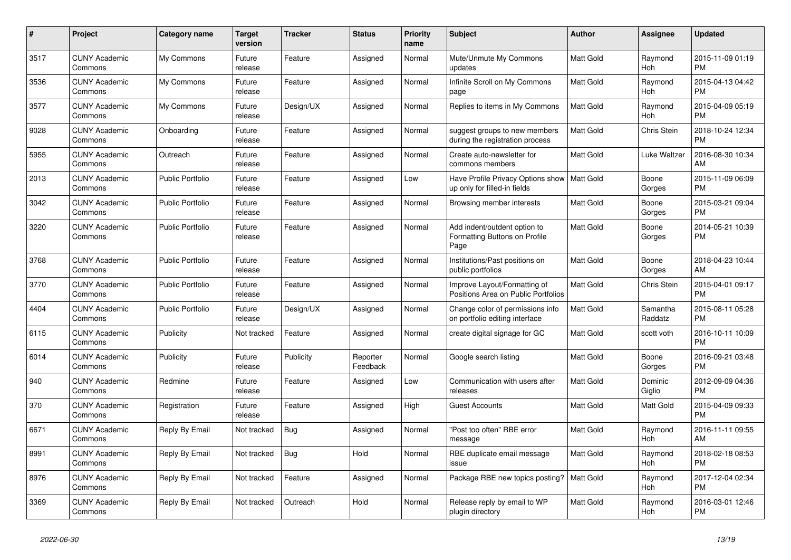| $\pmb{\#}$ | <b>Project</b>                  | <b>Category name</b>    | <b>Target</b><br>version | <b>Tracker</b> | <b>Status</b>        | <b>Priority</b><br>name | <b>Subject</b>                                                                | <b>Author</b>    | Assignee            | <b>Updated</b>                |
|------------|---------------------------------|-------------------------|--------------------------|----------------|----------------------|-------------------------|-------------------------------------------------------------------------------|------------------|---------------------|-------------------------------|
| 3517       | <b>CUNY Academic</b><br>Commons | My Commons              | Future<br>release        | Feature        | Assigned             | Normal                  | Mute/Unmute My Commons<br>updates                                             | <b>Matt Gold</b> | Raymond<br>Hoh      | 2015-11-09 01:19<br><b>PM</b> |
| 3536       | <b>CUNY Academic</b><br>Commons | My Commons              | Future<br>release        | Feature        | Assigned             | Normal                  | Infinite Scroll on My Commons<br>page                                         | Matt Gold        | Raymond<br>Hoh      | 2015-04-13 04:42<br><b>PM</b> |
| 3577       | <b>CUNY Academic</b><br>Commons | My Commons              | Future<br>release        | Design/UX      | Assigned             | Normal                  | Replies to items in My Commons                                                | <b>Matt Gold</b> | Raymond<br>Hoh      | 2015-04-09 05:19<br><b>PM</b> |
| 9028       | <b>CUNY Academic</b><br>Commons | Onboarding              | Future<br>release        | Feature        | Assigned             | Normal                  | suggest groups to new members<br>during the registration process              | <b>Matt Gold</b> | Chris Stein         | 2018-10-24 12:34<br><b>PM</b> |
| 5955       | <b>CUNY Academic</b><br>Commons | Outreach                | Future<br>release        | Feature        | Assigned             | Normal                  | Create auto-newsletter for<br>commons members                                 | Matt Gold        | Luke Waltzer        | 2016-08-30 10:34<br>AM        |
| 2013       | <b>CUNY Academic</b><br>Commons | <b>Public Portfolio</b> | Future<br>release        | Feature        | Assigned             | Low                     | Have Profile Privacy Options show   Matt Gold<br>up only for filled-in fields |                  | Boone<br>Gorges     | 2015-11-09 06:09<br><b>PM</b> |
| 3042       | <b>CUNY Academic</b><br>Commons | <b>Public Portfolio</b> | Future<br>release        | Feature        | Assigned             | Normal                  | Browsing member interests                                                     | <b>Matt Gold</b> | Boone<br>Gorges     | 2015-03-21 09:04<br><b>PM</b> |
| 3220       | <b>CUNY Academic</b><br>Commons | <b>Public Portfolio</b> | Future<br>release        | Feature        | Assigned             | Normal                  | Add indent/outdent option to<br>Formatting Buttons on Profile<br>Page         | <b>Matt Gold</b> | Boone<br>Gorges     | 2014-05-21 10:39<br><b>PM</b> |
| 3768       | <b>CUNY Academic</b><br>Commons | <b>Public Portfolio</b> | Future<br>release        | Feature        | Assigned             | Normal                  | Institutions/Past positions on<br>public portfolios                           | <b>Matt Gold</b> | Boone<br>Gorges     | 2018-04-23 10:44<br>AM        |
| 3770       | <b>CUNY Academic</b><br>Commons | <b>Public Portfolio</b> | Future<br>release        | Feature        | Assigned             | Normal                  | Improve Layout/Formatting of<br>Positions Area on Public Portfolios           | <b>Matt Gold</b> | <b>Chris Stein</b>  | 2015-04-01 09:17<br><b>PM</b> |
| 4404       | <b>CUNY Academic</b><br>Commons | Public Portfolio        | Future<br>release        | Design/UX      | Assigned             | Normal                  | Change color of permissions info<br>on portfolio editing interface            | Matt Gold        | Samantha<br>Raddatz | 2015-08-11 05:28<br><b>PM</b> |
| 6115       | <b>CUNY Academic</b><br>Commons | Publicity               | Not tracked              | Feature        | Assigned             | Normal                  | create digital signage for GC                                                 | <b>Matt Gold</b> | scott voth          | 2016-10-11 10:09<br><b>PM</b> |
| 6014       | <b>CUNY Academic</b><br>Commons | Publicity               | Future<br>release        | Publicity      | Reporter<br>Feedback | Normal                  | Google search listing                                                         | Matt Gold        | Boone<br>Gorges     | 2016-09-21 03:48<br><b>PM</b> |
| 940        | <b>CUNY Academic</b><br>Commons | Redmine                 | Future<br>release        | Feature        | Assigned             | Low                     | Communication with users after<br>releases                                    | Matt Gold        | Dominic<br>Giglio   | 2012-09-09 04:36<br><b>PM</b> |
| 370        | <b>CUNY Academic</b><br>Commons | Registration            | Future<br>release        | Feature        | Assigned             | High                    | <b>Guest Accounts</b>                                                         | Matt Gold        | Matt Gold           | 2015-04-09 09:33<br><b>PM</b> |
| 6671       | <b>CUNY Academic</b><br>Commons | Reply By Email          | Not tracked              | <b>Bug</b>     | Assigned             | Normal                  | "Post too often" RBE error<br>message                                         | Matt Gold        | Raymond<br>Hoh      | 2016-11-11 09:55<br>AM        |
| 8991       | <b>CUNY Academic</b><br>Commons | Reply By Email          | Not tracked              | Bug            | Hold                 | Normal                  | RBE duplicate email message<br>issue                                          | Matt Gold        | Raymond<br>Hoh      | 2018-02-18 08:53<br><b>PM</b> |
| 8976       | <b>CUNY Academic</b><br>Commons | Reply By Email          | Not tracked              | Feature        | Assigned             | Normal                  | Package RBE new topics posting?                                               | <b>Matt Gold</b> | Raymond<br>Hoh      | 2017-12-04 02:34<br><b>PM</b> |
| 3369       | CUNY Academic<br>Commons        | Reply By Email          | Not tracked              | Outreach       | Hold                 | Normal                  | Release reply by email to WP<br>plugin directory                              | <b>Matt Gold</b> | Raymond<br>Hoh      | 2016-03-01 12:46<br><b>PM</b> |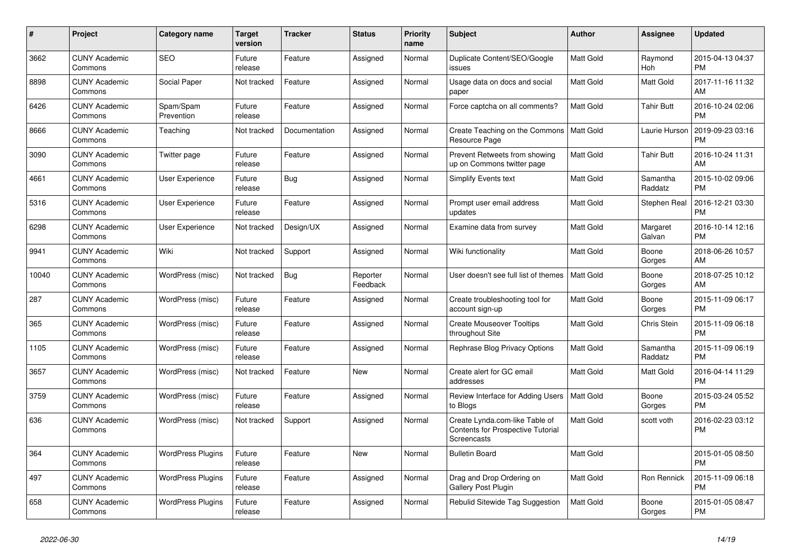| $\pmb{\#}$ | Project                         | Category name            | <b>Target</b><br>version | <b>Tracker</b> | <b>Status</b>        | <b>Priority</b><br>name | <b>Subject</b>                                                                     | <b>Author</b>    | Assignee            | <b>Updated</b>                |
|------------|---------------------------------|--------------------------|--------------------------|----------------|----------------------|-------------------------|------------------------------------------------------------------------------------|------------------|---------------------|-------------------------------|
| 3662       | <b>CUNY Academic</b><br>Commons | <b>SEO</b>               | Future<br>release        | Feature        | Assigned             | Normal                  | Duplicate Content/SEO/Google<br>issues                                             | <b>Matt Gold</b> | Raymond<br>Hoh      | 2015-04-13 04:37<br><b>PM</b> |
| 8898       | <b>CUNY Academic</b><br>Commons | Social Paper             | Not tracked              | Feature        | Assigned             | Normal                  | Usage data on docs and social<br>paper                                             | Matt Gold        | Matt Gold           | 2017-11-16 11:32<br>AM        |
| 6426       | <b>CUNY Academic</b><br>Commons | Spam/Spam<br>Prevention  | Future<br>release        | Feature        | Assigned             | Normal                  | Force captcha on all comments?                                                     | <b>Matt Gold</b> | <b>Tahir Butt</b>   | 2016-10-24 02:06<br><b>PM</b> |
| 8666       | <b>CUNY Academic</b><br>Commons | Teaching                 | Not tracked              | Documentation  | Assigned             | Normal                  | Create Teaching on the Commons<br>Resource Page                                    | Matt Gold        | Laurie Hurson       | 2019-09-23 03:16<br><b>PM</b> |
| 3090       | <b>CUNY Academic</b><br>Commons | Twitter page             | Future<br>release        | Feature        | Assigned             | Normal                  | Prevent Retweets from showing<br>up on Commons twitter page                        | Matt Gold        | Tahir Butt          | 2016-10-24 11:31<br>AM        |
| 4661       | <b>CUNY Academic</b><br>Commons | User Experience          | Future<br>release        | Bug            | Assigned             | Normal                  | Simplify Events text                                                               | Matt Gold        | Samantha<br>Raddatz | 2015-10-02 09:06<br><b>PM</b> |
| 5316       | <b>CUNY Academic</b><br>Commons | User Experience          | Future<br>release        | Feature        | Assigned             | Normal                  | Prompt user email address<br>updates                                               | <b>Matt Gold</b> | Stephen Real        | 2016-12-21 03:30<br><b>PM</b> |
| 6298       | <b>CUNY Academic</b><br>Commons | User Experience          | Not tracked              | Design/UX      | Assigned             | Normal                  | Examine data from survey                                                           | <b>Matt Gold</b> | Margaret<br>Galvan  | 2016-10-14 12:16<br><b>PM</b> |
| 9941       | <b>CUNY Academic</b><br>Commons | Wiki                     | Not tracked              | Support        | Assigned             | Normal                  | Wiki functionality                                                                 | Matt Gold        | Boone<br>Gorges     | 2018-06-26 10:57<br>AM        |
| 10040      | <b>CUNY Academic</b><br>Commons | WordPress (misc)         | Not tracked              | <b>Bug</b>     | Reporter<br>Feedback | Normal                  | User doesn't see full list of themes                                               | <b>Matt Gold</b> | Boone<br>Gorges     | 2018-07-25 10:12<br>AM        |
| 287        | <b>CUNY Academic</b><br>Commons | WordPress (misc)         | Future<br>release        | Feature        | Assigned             | Normal                  | Create troubleshooting tool for<br>account sign-up                                 | Matt Gold        | Boone<br>Gorges     | 2015-11-09 06:17<br><b>PM</b> |
| 365        | <b>CUNY Academic</b><br>Commons | WordPress (misc)         | Future<br>release        | Feature        | Assigned             | Normal                  | <b>Create Mouseover Tooltips</b><br>throughout Site                                | <b>Matt Gold</b> | Chris Stein         | 2015-11-09 06:18<br><b>PM</b> |
| 1105       | <b>CUNY Academic</b><br>Commons | WordPress (misc)         | Future<br>release        | Feature        | Assigned             | Normal                  | Rephrase Blog Privacy Options                                                      | <b>Matt Gold</b> | Samantha<br>Raddatz | 2015-11-09 06:19<br><b>PM</b> |
| 3657       | <b>CUNY Academic</b><br>Commons | WordPress (misc)         | Not tracked              | Feature        | <b>New</b>           | Normal                  | Create alert for GC email<br>addresses                                             | <b>Matt Gold</b> | Matt Gold           | 2016-04-14 11:29<br><b>PM</b> |
| 3759       | <b>CUNY Academic</b><br>Commons | WordPress (misc)         | Future<br>release        | Feature        | Assigned             | Normal                  | Review Interface for Adding Users<br>to Blogs                                      | <b>Matt Gold</b> | Boone<br>Gorges     | 2015-03-24 05:52<br><b>PM</b> |
| 636        | <b>CUNY Academic</b><br>Commons | WordPress (misc)         | Not tracked              | Support        | Assigned             | Normal                  | Create Lynda.com-like Table of<br>Contents for Prospective Tutorial<br>Screencasts | Matt Gold        | scott voth          | 2016-02-23 03:12<br><b>PM</b> |
| 364        | <b>CUNY Academic</b><br>Commons | <b>WordPress Plugins</b> | Future<br>release        | Feature        | <b>New</b>           | Normal                  | <b>Bulletin Board</b>                                                              | <b>Matt Gold</b> |                     | 2015-01-05 08:50<br><b>PM</b> |
| 497        | <b>CUNY Academic</b><br>Commons | <b>WordPress Plugins</b> | Future<br>release        | Feature        | Assigned             | Normal                  | Drag and Drop Ordering on<br>Gallery Post Plugin                                   | Matt Gold        | Ron Rennick         | 2015-11-09 06:18<br><b>PM</b> |
| 658        | <b>CUNY Academic</b><br>Commons | <b>WordPress Plugins</b> | Future<br>release        | Feature        | Assigned             | Normal                  | Rebulid Sitewide Tag Suggestion                                                    | <b>Matt Gold</b> | Boone<br>Gorges     | 2015-01-05 08:47<br><b>PM</b> |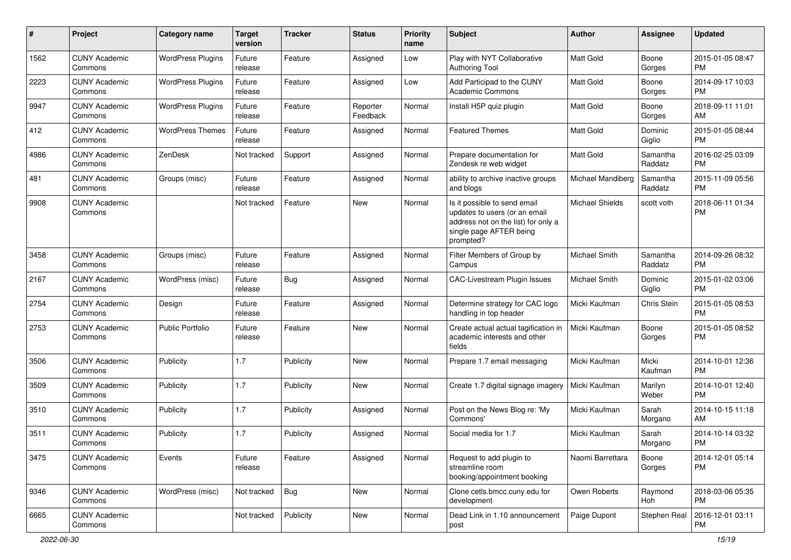| #    | Project                         | <b>Category name</b>     | <b>Target</b><br>version | <b>Tracker</b> | <b>Status</b>        | <b>Priority</b><br>name | <b>Subject</b>                                                                                                                               | Author                 | <b>Assignee</b>     | <b>Updated</b>                |
|------|---------------------------------|--------------------------|--------------------------|----------------|----------------------|-------------------------|----------------------------------------------------------------------------------------------------------------------------------------------|------------------------|---------------------|-------------------------------|
| 1562 | <b>CUNY Academic</b><br>Commons | <b>WordPress Plugins</b> | Future<br>release        | Feature        | Assigned             | Low                     | Play with NYT Collaborative<br><b>Authoring Tool</b>                                                                                         | <b>Matt Gold</b>       | Boone<br>Gorges     | 2015-01-05 08:47<br><b>PM</b> |
| 2223 | <b>CUNY Academic</b><br>Commons | <b>WordPress Plugins</b> | Future<br>release        | Feature        | Assigned             | Low                     | Add Participad to the CUNY<br><b>Academic Commons</b>                                                                                        | <b>Matt Gold</b>       | Boone<br>Gorges     | 2014-09-17 10:03<br><b>PM</b> |
| 9947 | <b>CUNY Academic</b><br>Commons | <b>WordPress Plugins</b> | Future<br>release        | Feature        | Reporter<br>Feedback | Normal                  | Install H5P quiz plugin                                                                                                                      | <b>Matt Gold</b>       | Boone<br>Gorges     | 2018-09-11 11:01<br>AM        |
| 412  | <b>CUNY Academic</b><br>Commons | <b>WordPress Themes</b>  | Future<br>release        | Feature        | Assigned             | Normal                  | <b>Featured Themes</b>                                                                                                                       | <b>Matt Gold</b>       | Dominic<br>Giglio   | 2015-01-05 08:44<br><b>PM</b> |
| 4986 | <b>CUNY Academic</b><br>Commons | ZenDesk                  | Not tracked              | Support        | Assigned             | Normal                  | Prepare documentation for<br>Zendesk re web widget                                                                                           | <b>Matt Gold</b>       | Samantha<br>Raddatz | 2016-02-25 03:09<br><b>PM</b> |
| 481  | <b>CUNY Academic</b><br>Commons | Groups (misc)            | Future<br>release        | Feature        | Assigned             | Normal                  | ability to archive inactive groups<br>and blogs                                                                                              | Michael Mandiberg      | Samantha<br>Raddatz | 2015-11-09 05:56<br><b>PM</b> |
| 9908 | <b>CUNY Academic</b><br>Commons |                          | Not tracked              | Feature        | New                  | Normal                  | Is it possible to send email<br>updates to users (or an email<br>address not on the list) for only a<br>single page AFTER being<br>prompted? | <b>Michael Shields</b> | scott voth          | 2018-06-11 01:34<br><b>PM</b> |
| 3458 | <b>CUNY Academic</b><br>Commons | Groups (misc)            | Future<br>release        | Feature        | Assigned             | Normal                  | Filter Members of Group by<br>Campus                                                                                                         | Michael Smith          | Samantha<br>Raddatz | 2014-09-26 08:32<br><b>PM</b> |
| 2167 | <b>CUNY Academic</b><br>Commons | WordPress (misc)         | Future<br>release        | Bug            | Assigned             | Normal                  | <b>CAC-Livestream Plugin Issues</b>                                                                                                          | Michael Smith          | Dominic<br>Giglio   | 2015-01-02 03:06<br><b>PM</b> |
| 2754 | <b>CUNY Academic</b><br>Commons | Design                   | Future<br>release        | Feature        | Assigned             | Normal                  | Determine strategy for CAC logo<br>handling in top header                                                                                    | Micki Kaufman          | Chris Stein         | 2015-01-05 08:53<br><b>PM</b> |
| 2753 | <b>CUNY Academic</b><br>Commons | Public Portfolio         | Future<br>release        | Feature        | New                  | Normal                  | Create actual actual tagification in<br>academic interests and other<br>fields                                                               | Micki Kaufman          | Boone<br>Gorges     | 2015-01-05 08:52<br><b>PM</b> |
| 3506 | <b>CUNY Academic</b><br>Commons | Publicity                | 1.7                      | Publicity      | <b>New</b>           | Normal                  | Prepare 1.7 email messaging                                                                                                                  | Micki Kaufman          | Micki<br>Kaufman    | 2014-10-01 12:36<br><b>PM</b> |
| 3509 | <b>CUNY Academic</b><br>Commons | Publicity                | 1.7                      | Publicity      | <b>New</b>           | Normal                  | Create 1.7 digital signage imagery                                                                                                           | Micki Kaufman          | Marilyn<br>Weber    | 2014-10-01 12:40<br><b>PM</b> |
| 3510 | <b>CUNY Academic</b><br>Commons | Publicity                | 1.7                      | Publicity      | Assigned             | Normal                  | Post on the News Blog re: 'My<br>Commons'                                                                                                    | Micki Kaufman          | Sarah<br>Morgano    | 2014-10-15 11:18<br>AM        |
| 3511 | <b>CUNY Academic</b><br>Commons | Publicity                | 1.7                      | Publicity      | Assigned             | Normal                  | Social media for 1.7                                                                                                                         | Micki Kaufman          | Sarah<br>Morgano    | 2014-10-14 03:32<br><b>PM</b> |
| 3475 | <b>CUNY Academic</b><br>Commons | Events                   | Future<br>release        | Feature        | Assigned             | Normal                  | Request to add plugin to<br>streamline room<br>booking/appointment booking                                                                   | Naomi Barrettara       | Boone<br>Gorges     | 2014-12-01 05:14<br><b>PM</b> |
| 9346 | <b>CUNY Academic</b><br>Commons | WordPress (misc)         | Not tracked              | <b>Bug</b>     | New                  | Normal                  | Clone cetls.bmcc.cuny.edu for<br>development                                                                                                 | Owen Roberts           | Raymond<br>Hoh      | 2018-03-06 05:35<br><b>PM</b> |
| 6665 | <b>CUNY Academic</b><br>Commons |                          | Not tracked              | Publicity      | New                  | Normal                  | Dead Link in 1.10 announcement<br>post                                                                                                       | Paige Dupont           | Stephen Real        | 2016-12-01 03:11<br>PM        |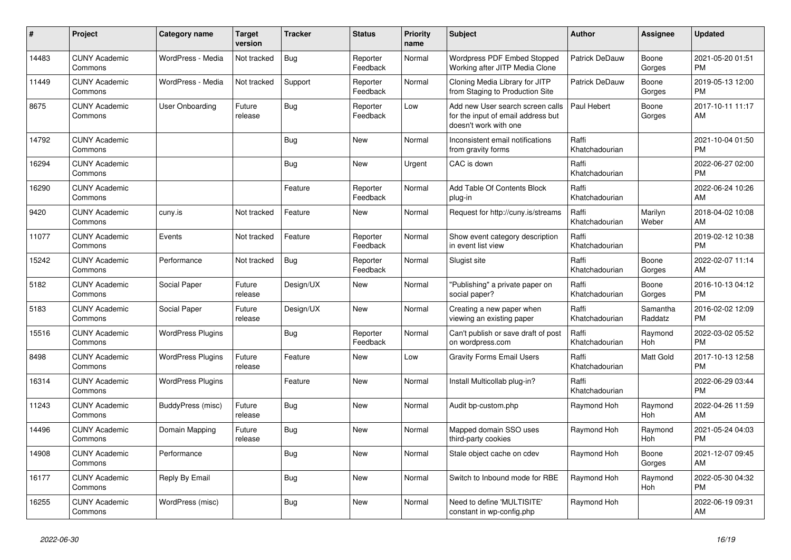| #     | Project                         | <b>Category name</b>     | <b>Target</b><br>version | <b>Tracker</b> | <b>Status</b>        | Priority<br>name | <b>Subject</b>                                                                                  | <b>Author</b>           | Assignee            | <b>Updated</b>                |
|-------|---------------------------------|--------------------------|--------------------------|----------------|----------------------|------------------|-------------------------------------------------------------------------------------------------|-------------------------|---------------------|-------------------------------|
| 14483 | <b>CUNY Academic</b><br>Commons | WordPress - Media        | Not tracked              | Bug            | Reporter<br>Feedback | Normal           | Wordpress PDF Embed Stopped<br>Working after JITP Media Clone                                   | Patrick DeDauw          | Boone<br>Gorges     | 2021-05-20 01:51<br><b>PM</b> |
| 11449 | <b>CUNY Academic</b><br>Commons | WordPress - Media        | Not tracked              | Support        | Reporter<br>Feedback | Normal           | Cloning Media Library for JITP<br>from Staging to Production Site                               | <b>Patrick DeDauw</b>   | Boone<br>Gorges     | 2019-05-13 12:00<br><b>PM</b> |
| 8675  | <b>CUNY Academic</b><br>Commons | User Onboarding          | Future<br>release        | Bug            | Reporter<br>Feedback | Low              | Add new User search screen calls<br>for the input of email address but<br>doesn't work with one | Paul Hebert             | Boone<br>Gorges     | 2017-10-11 11:17<br>AM        |
| 14792 | <b>CUNY Academic</b><br>Commons |                          |                          | Bug            | <b>New</b>           | Normal           | Inconsistent email notifications<br>from gravity forms                                          | Raffi<br>Khatchadourian |                     | 2021-10-04 01:50<br><b>PM</b> |
| 16294 | <b>CUNY Academic</b><br>Commons |                          |                          | Bug            | New                  | Urgent           | CAC is down                                                                                     | Raffi<br>Khatchadourian |                     | 2022-06-27 02:00<br><b>PM</b> |
| 16290 | <b>CUNY Academic</b><br>Commons |                          |                          | Feature        | Reporter<br>Feedback | Normal           | Add Table Of Contents Block<br>plug-in                                                          | Raffi<br>Khatchadourian |                     | 2022-06-24 10:26<br>AM        |
| 9420  | <b>CUNY Academic</b><br>Commons | cuny.is                  | Not tracked              | Feature        | <b>New</b>           | Normal           | Request for http://cuny.is/streams                                                              | Raffi<br>Khatchadourian | Marilyn<br>Weber    | 2018-04-02 10:08<br>AM        |
| 11077 | <b>CUNY Academic</b><br>Commons | Events                   | Not tracked              | Feature        | Reporter<br>Feedback | Normal           | Show event category description<br>in event list view                                           | Raffi<br>Khatchadourian |                     | 2019-02-12 10:38<br><b>PM</b> |
| 15242 | <b>CUNY Academic</b><br>Commons | Performance              | Not tracked              | Bug            | Reporter<br>Feedback | Normal           | Slugist site                                                                                    | Raffi<br>Khatchadourian | Boone<br>Gorges     | 2022-02-07 11:14<br>AM        |
| 5182  | <b>CUNY Academic</b><br>Commons | Social Paper             | Future<br>release        | Design/UX      | <b>New</b>           | Normal           | "Publishing" a private paper on<br>social paper?                                                | Raffi<br>Khatchadourian | Boone<br>Gorges     | 2016-10-13 04:12<br><b>PM</b> |
| 5183  | <b>CUNY Academic</b><br>Commons | Social Paper             | Future<br>release        | Design/UX      | New                  | Normal           | Creating a new paper when<br>viewing an existing paper                                          | Raffi<br>Khatchadourian | Samantha<br>Raddatz | 2016-02-02 12:09<br><b>PM</b> |
| 15516 | <b>CUNY Academic</b><br>Commons | <b>WordPress Plugins</b> |                          | Bug            | Reporter<br>Feedback | Normal           | Can't publish or save draft of post<br>on wordpress.com                                         | Raffi<br>Khatchadourian | Raymond<br>Hoh      | 2022-03-02 05:52<br><b>PM</b> |
| 8498  | <b>CUNY Academic</b><br>Commons | <b>WordPress Plugins</b> | Future<br>release        | Feature        | New                  | Low              | <b>Gravity Forms Email Users</b>                                                                | Raffi<br>Khatchadourian | Matt Gold           | 2017-10-13 12:58<br><b>PM</b> |
| 16314 | <b>CUNY Academic</b><br>Commons | <b>WordPress Plugins</b> |                          | Feature        | New                  | Normal           | Install Multicollab plug-in?                                                                    | Raffi<br>Khatchadourian |                     | 2022-06-29 03:44<br><b>PM</b> |
| 11243 | <b>CUNY Academic</b><br>Commons | BuddyPress (misc)        | Future<br>release        | Bug            | <b>New</b>           | Normal           | Audit bp-custom.php                                                                             | Raymond Hoh             | Raymond<br>Hoh      | 2022-04-26 11:59<br>AM        |
| 14496 | <b>CUNY Academic</b><br>Commons | Domain Mapping           | Future<br>release        | Bug            | <b>New</b>           | Normal           | Mapped domain SSO uses<br>third-party cookies                                                   | Raymond Hoh             | Raymond<br>Hoh      | 2021-05-24 04:03<br><b>PM</b> |
| 14908 | <b>CUNY Academic</b><br>Commons | Performance              |                          | Bug            | <b>New</b>           | Normal           | Stale object cache on cdev                                                                      | Raymond Hoh             | Boone<br>Gorges     | 2021-12-07 09:45<br>AM        |
| 16177 | <b>CUNY Academic</b><br>Commons | Reply By Email           |                          | <b>Bug</b>     | New                  | Normal           | Switch to Inbound mode for RBE                                                                  | Raymond Hoh             | Raymond<br>Hoh      | 2022-05-30 04:32<br><b>PM</b> |
| 16255 | <b>CUNY Academic</b><br>Commons | WordPress (misc)         |                          | <b>Bug</b>     | <b>New</b>           | Normal           | Need to define 'MULTISITE'<br>constant in wp-config.php                                         | Raymond Hoh             |                     | 2022-06-19 09:31<br>AM        |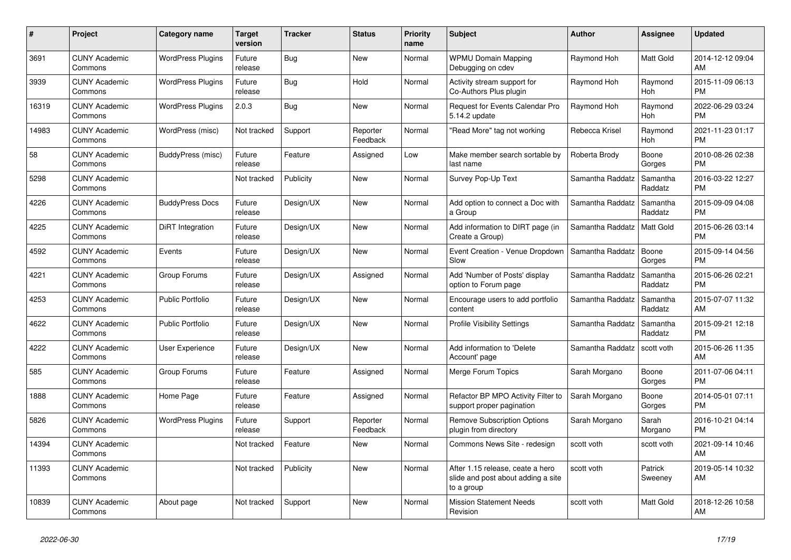| $\pmb{\#}$ | Project                         | Category name            | <b>Target</b><br>version | <b>Tracker</b> | <b>Status</b>        | Priority<br>name | <b>Subject</b>                                                                       | <b>Author</b>    | Assignee            | <b>Updated</b>                |
|------------|---------------------------------|--------------------------|--------------------------|----------------|----------------------|------------------|--------------------------------------------------------------------------------------|------------------|---------------------|-------------------------------|
| 3691       | <b>CUNY Academic</b><br>Commons | <b>WordPress Plugins</b> | Future<br>release        | <b>Bug</b>     | New                  | Normal           | <b>WPMU Domain Mapping</b><br>Debugging on cdev                                      | Raymond Hoh      | Matt Gold           | 2014-12-12 09:04<br>AM        |
| 3939       | <b>CUNY Academic</b><br>Commons | <b>WordPress Plugins</b> | Future<br>release        | Bug            | Hold                 | Normal           | Activity stream support for<br>Co-Authors Plus plugin                                | Raymond Hoh      | Raymond<br>Hoh      | 2015-11-09 06:13<br><b>PM</b> |
| 16319      | <b>CUNY Academic</b><br>Commons | <b>WordPress Plugins</b> | 2.0.3                    | <b>Bug</b>     | <b>New</b>           | Normal           | <b>Request for Events Calendar Pro</b><br>5.14.2 update                              | Raymond Hoh      | Raymond<br>Hoh      | 2022-06-29 03:24<br><b>PM</b> |
| 14983      | <b>CUNY Academic</b><br>Commons | WordPress (misc)         | Not tracked              | Support        | Reporter<br>Feedback | Normal           | "Read More" tag not working                                                          | Rebecca Krisel   | Raymond<br>Hoh      | 2021-11-23 01:17<br><b>PM</b> |
| 58         | <b>CUNY Academic</b><br>Commons | BuddyPress (misc)        | Future<br>release        | Feature        | Assigned             | Low              | Make member search sortable by<br>last name                                          | Roberta Brody    | Boone<br>Gorges     | 2010-08-26 02:38<br><b>PM</b> |
| 5298       | <b>CUNY Academic</b><br>Commons |                          | Not tracked              | Publicity      | New                  | Normal           | Survey Pop-Up Text                                                                   | Samantha Raddatz | Samantha<br>Raddatz | 2016-03-22 12:27<br><b>PM</b> |
| 4226       | <b>CUNY Academic</b><br>Commons | <b>BuddyPress Docs</b>   | Future<br>release        | Design/UX      | <b>New</b>           | Normal           | Add option to connect a Doc with<br>a Group                                          | Samantha Raddatz | Samantha<br>Raddatz | 2015-09-09 04:08<br><b>PM</b> |
| 4225       | <b>CUNY Academic</b><br>Commons | DiRT Integration         | Future<br>release        | Design/UX      | New                  | Normal           | Add information to DIRT page (in<br>Create a Group)                                  | Samantha Raddatz | Matt Gold           | 2015-06-26 03:14<br><b>PM</b> |
| 4592       | <b>CUNY Academic</b><br>Commons | Events                   | Future<br>release        | Design/UX      | New                  | Normal           | Event Creation - Venue Dropdown<br>Slow                                              | Samantha Raddatz | Boone<br>Gorges     | 2015-09-14 04:56<br><b>PM</b> |
| 4221       | <b>CUNY Academic</b><br>Commons | Group Forums             | Future<br>release        | Design/UX      | Assigned             | Normal           | Add 'Number of Posts' display<br>option to Forum page                                | Samantha Raddatz | Samantha<br>Raddatz | 2015-06-26 02:21<br><b>PM</b> |
| 4253       | <b>CUNY Academic</b><br>Commons | <b>Public Portfolio</b>  | Future<br>release        | Design/UX      | New                  | Normal           | Encourage users to add portfolio<br>content                                          | Samantha Raddatz | Samantha<br>Raddatz | 2015-07-07 11:32<br>AM        |
| 4622       | <b>CUNY Academic</b><br>Commons | <b>Public Portfolio</b>  | Future<br>release        | Design/UX      | New                  | Normal           | <b>Profile Visibility Settings</b>                                                   | Samantha Raddatz | Samantha<br>Raddatz | 2015-09-21 12:18<br><b>PM</b> |
| 4222       | <b>CUNY Academic</b><br>Commons | <b>User Experience</b>   | Future<br>release        | Design/UX      | <b>New</b>           | Normal           | Add information to 'Delete<br>Account' page                                          | Samantha Raddatz | scott voth          | 2015-06-26 11:35<br>AM        |
| 585        | <b>CUNY Academic</b><br>Commons | Group Forums             | Future<br>release        | Feature        | Assigned             | Normal           | Merge Forum Topics                                                                   | Sarah Morgano    | Boone<br>Gorges     | 2011-07-06 04:11<br><b>PM</b> |
| 1888       | <b>CUNY Academic</b><br>Commons | Home Page                | Future<br>release        | Feature        | Assigned             | Normal           | Refactor BP MPO Activity Filter to<br>support proper pagination                      | Sarah Morgano    | Boone<br>Gorges     | 2014-05-01 07:11<br><b>PM</b> |
| 5826       | <b>CUNY Academic</b><br>Commons | <b>WordPress Plugins</b> | Future<br>release        | Support        | Reporter<br>Feedback | Normal           | <b>Remove Subscription Options</b><br>plugin from directory                          | Sarah Morgano    | Sarah<br>Morgano    | 2016-10-21 04:14<br><b>PM</b> |
| 14394      | <b>CUNY Academic</b><br>Commons |                          | Not tracked              | Feature        | New                  | Normal           | Commons News Site - redesign                                                         | scott voth       | scott voth          | 2021-09-14 10:46<br>AM        |
| 11393      | <b>CUNY Academic</b><br>Commons |                          | Not tracked              | Publicity      | New                  | Normal           | After 1.15 release, ceate a hero<br>slide and post about adding a site<br>to a group | scott voth       | Patrick<br>Sweeney  | 2019-05-14 10:32<br>AM        |
| 10839      | <b>CUNY Academic</b><br>Commons | About page               | Not tracked              | Support        | <b>New</b>           | Normal           | <b>Mission Statement Needs</b><br>Revision                                           | scott voth       | Matt Gold           | 2018-12-26 10:58<br>AM        |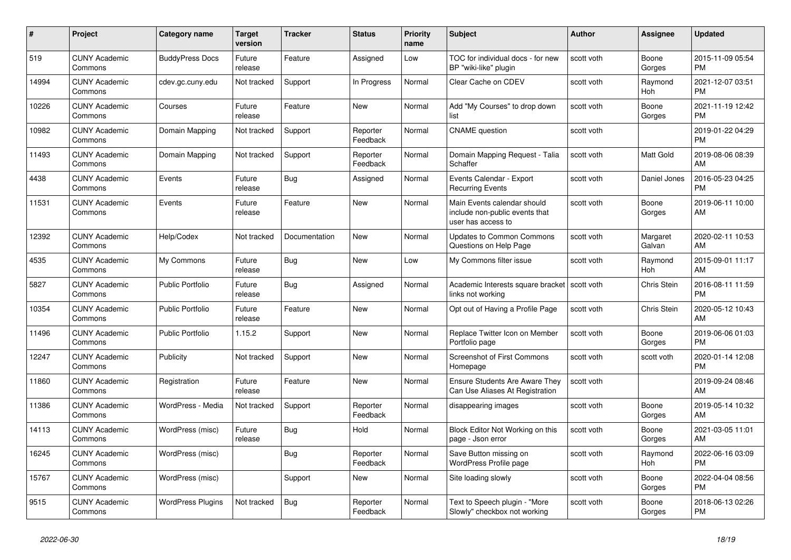| #     | <b>Project</b>                  | Category name            | <b>Target</b><br>version | <b>Tracker</b> | <b>Status</b>        | <b>Priority</b><br>name | <b>Subject</b>                                                                      | <b>Author</b> | Assignee           | <b>Updated</b>                |
|-------|---------------------------------|--------------------------|--------------------------|----------------|----------------------|-------------------------|-------------------------------------------------------------------------------------|---------------|--------------------|-------------------------------|
| 519   | <b>CUNY Academic</b><br>Commons | <b>BuddyPress Docs</b>   | Future<br>release        | Feature        | Assigned             | Low                     | TOC for individual docs - for new<br>BP "wiki-like" plugin                          | scott voth    | Boone<br>Gorges    | 2015-11-09 05:54<br><b>PM</b> |
| 14994 | <b>CUNY Academic</b><br>Commons | cdev.gc.cuny.edu         | Not tracked              | Support        | In Progress          | Normal                  | Clear Cache on CDEV                                                                 | scott voth    | Raymond<br>Hoh     | 2021-12-07 03:51<br><b>PM</b> |
| 10226 | <b>CUNY Academic</b><br>Commons | Courses                  | Future<br>release        | Feature        | New                  | Normal                  | Add "My Courses" to drop down<br>list                                               | scott voth    | Boone<br>Gorges    | 2021-11-19 12:42<br><b>PM</b> |
| 10982 | <b>CUNY Academic</b><br>Commons | Domain Mapping           | Not tracked              | Support        | Reporter<br>Feedback | Normal                  | <b>CNAME</b> question                                                               | scott voth    |                    | 2019-01-22 04:29<br><b>PM</b> |
| 11493 | <b>CUNY Academic</b><br>Commons | Domain Mapping           | Not tracked              | Support        | Reporter<br>Feedback | Normal                  | Domain Mapping Request - Talia<br>Schaffer                                          | scott voth    | Matt Gold          | 2019-08-06 08:39<br>AM        |
| 4438  | <b>CUNY Academic</b><br>Commons | Events                   | Future<br>release        | Bug            | Assigned             | Normal                  | Events Calendar - Export<br><b>Recurring Events</b>                                 | scott voth    | Daniel Jones       | 2016-05-23 04:25<br><b>PM</b> |
| 11531 | <b>CUNY Academic</b><br>Commons | Events                   | Future<br>release        | Feature        | <b>New</b>           | Normal                  | Main Events calendar should<br>include non-public events that<br>user has access to | scott voth    | Boone<br>Gorges    | 2019-06-11 10:00<br>AM        |
| 12392 | <b>CUNY Academic</b><br>Commons | Help/Codex               | Not tracked              | Documentation  | New                  | Normal                  | <b>Updates to Common Commons</b><br>Questions on Help Page                          | scott voth    | Margaret<br>Galvan | 2020-02-11 10:53<br>AM        |
| 4535  | <b>CUNY Academic</b><br>Commons | My Commons               | Future<br>release        | <b>Bug</b>     | <b>New</b>           | Low                     | My Commons filter issue                                                             | scott voth    | Raymond<br>Hoh     | 2015-09-01 11:17<br>AM        |
| 5827  | <b>CUNY Academic</b><br>Commons | <b>Public Portfolio</b>  | Future<br>release        | <b>Bug</b>     | Assigned             | Normal                  | Academic Interests square bracket<br>links not working                              | scott voth    | Chris Stein        | 2016-08-11 11:59<br><b>PM</b> |
| 10354 | <b>CUNY Academic</b><br>Commons | <b>Public Portfolio</b>  | Future<br>release        | Feature        | New                  | Normal                  | Opt out of Having a Profile Page                                                    | scott voth    | Chris Stein        | 2020-05-12 10:43<br>AM        |
| 11496 | <b>CUNY Academic</b><br>Commons | <b>Public Portfolio</b>  | 1.15.2                   | Support        | New                  | Normal                  | Replace Twitter Icon on Member<br>Portfolio page                                    | scott voth    | Boone<br>Gorges    | 2019-06-06 01:03<br><b>PM</b> |
| 12247 | <b>CUNY Academic</b><br>Commons | Publicity                | Not tracked              | Support        | <b>New</b>           | Normal                  | Screenshot of First Commons<br>Homepage                                             | scott voth    | scott voth         | 2020-01-14 12:08<br><b>PM</b> |
| 11860 | <b>CUNY Academic</b><br>Commons | Registration             | Future<br>release        | Feature        | New                  | Normal                  | <b>Ensure Students Are Aware They</b><br>Can Use Aliases At Registration            | scott voth    |                    | 2019-09-24 08:46<br>AM        |
| 11386 | <b>CUNY Academic</b><br>Commons | WordPress - Media        | Not tracked              | Support        | Reporter<br>Feedback | Normal                  | disappearing images                                                                 | scott voth    | Boone<br>Gorges    | 2019-05-14 10:32<br>AM        |
| 14113 | <b>CUNY Academic</b><br>Commons | WordPress (misc)         | Future<br>release        | <b>Bug</b>     | Hold                 | Normal                  | Block Editor Not Working on this<br>page - Json error                               | scott voth    | Boone<br>Gorges    | 2021-03-05 11:01<br>AM        |
| 16245 | <b>CUNY Academic</b><br>Commons | WordPress (misc)         |                          | Bug            | Reporter<br>Feedback | Normal                  | Save Button missing on<br>WordPress Profile page                                    | scott voth    | Raymond<br>Hoh     | 2022-06-16 03:09<br><b>PM</b> |
| 15767 | <b>CUNY Academic</b><br>Commons | WordPress (misc)         |                          | Support        | New                  | Normal                  | Site loading slowly                                                                 | scott voth    | Boone<br>Gorges    | 2022-04-04 08:56<br><b>PM</b> |
| 9515  | <b>CUNY Academic</b><br>Commons | <b>WordPress Plugins</b> | Not tracked              | <b>Bug</b>     | Reporter<br>Feedback | Normal                  | Text to Speech plugin - "More<br>Slowly" checkbox not working                       | scott voth    | Boone<br>Gorges    | 2018-06-13 02:26<br><b>PM</b> |